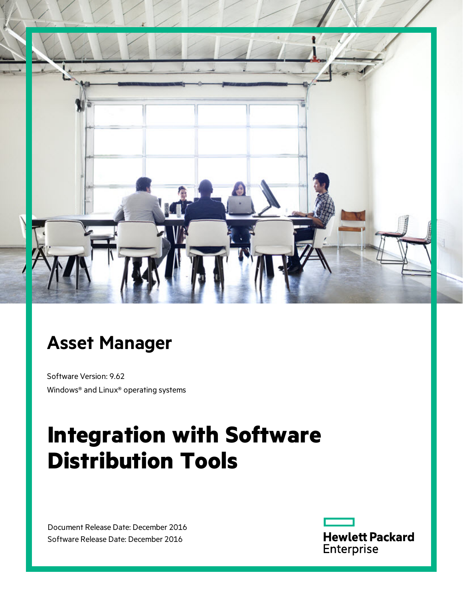

# **Asset Manager**

Software Version: 9.62 Windows® and Linux® operating systems

# **Integration with Software Distribution Tools**

Document Release Date: December 2016 Software Release Date: December 2016

**Hewlett Packard** Enterprise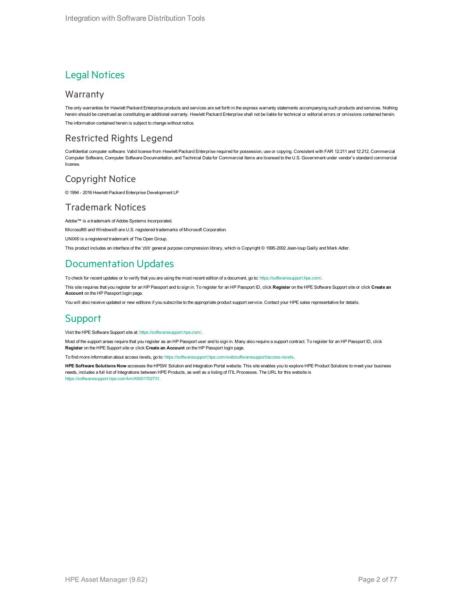### Legal Notices

#### Warranty

The only warranties for Hewlett Packard Enterprise products and services are set forth in the express warranty statements accompanying such products and services. Nothing herein should be construed as constituting an additional warranty. Hewlett Packard Enterprise shall not be liable for technical or editorial errors or omissions contained herein. The information contained herein is subject to change without notice.

### Restricted Rights Legend

Confidential computer software. Valid license from Hewlett Packard Enterprise required for possession, use or copying. Consistent with FAR 12.211 and 12.212, Commercial Computer Software, Computer Software Documentation, and Technical Data for Commercial Items are licensed to the U.S. Government under vendor's standard commercial license.

### Copyright Notice

© 1994 - 2016 Hewlett Packard Enterprise Development LP

### Trademark Notices

Adobe™ is a trademark of Adobe Systems Incorporated.

Microsoft® and Windows® are U.S. registered trademarks of Microsoft Corporation.

UNIX® is a registered trademark of The Open Group.

This product includes an interface of the 'zlib' general purpose compression library, which is Copyright © 1995-2002 Jean-loup Gailly and Mark Adler.

### Documentation Updates

To check for recent updates or to verify that you are using the most recent edition of a document, go to: <https://softwaresupport.hpe.com/>.

This site requires that you register for an HP Passport and to sign in. To register for an HP Passport ID, click **Register** on the HPE Software Support site or click **Create an Account** on the HP Passport login page.

You will also receive updated or new editions if you subscribe to the appropriate product support service. Contact your HPE sales representative for details.

### Support

Visit the HPE Software Support site at: <https://softwaresupport.hpe.com/>.

Most of the support areas require that you register as an HP Passport user and to sign in. Many also require a support contract. To register for an HP Passport ID, click **Register** on the HPE Support site or click **Create an Account** on the HP Passport login page.

To find more information about access levels, go to: <https://softwaresupport.hpe.com/web/softwaresupport/access-levels>.

**HPE Software Solutions Now** accesses the HPSW Solution and Integration Portal website. This site enables you to explore HPE Product Solutions to meet your business needs, includes a full list of Integrations between HPE Products, as well as a listing of ITIL Processes. The URL for this website is [https://softwaresupport.hpe.com/km/KM01702731.](https://softwaresupport.hpe.com/km/KM01702731)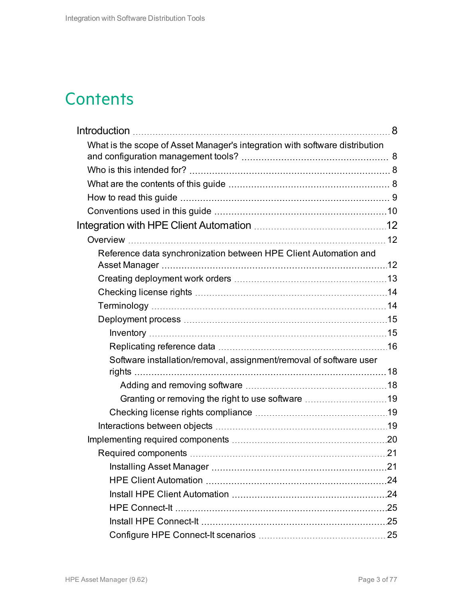## **Contents**

| What is the scope of Asset Manager's integration with software distribution |  |
|-----------------------------------------------------------------------------|--|
|                                                                             |  |
|                                                                             |  |
|                                                                             |  |
|                                                                             |  |
|                                                                             |  |
|                                                                             |  |
| Reference data synchronization between HPE Client Automation and            |  |
|                                                                             |  |
|                                                                             |  |
|                                                                             |  |
|                                                                             |  |
|                                                                             |  |
|                                                                             |  |
| Software installation/removal, assignment/removal of software user          |  |
|                                                                             |  |
| Granting or removing the right to use software 19                           |  |
|                                                                             |  |
|                                                                             |  |
|                                                                             |  |
|                                                                             |  |
|                                                                             |  |
|                                                                             |  |
|                                                                             |  |
|                                                                             |  |
|                                                                             |  |
|                                                                             |  |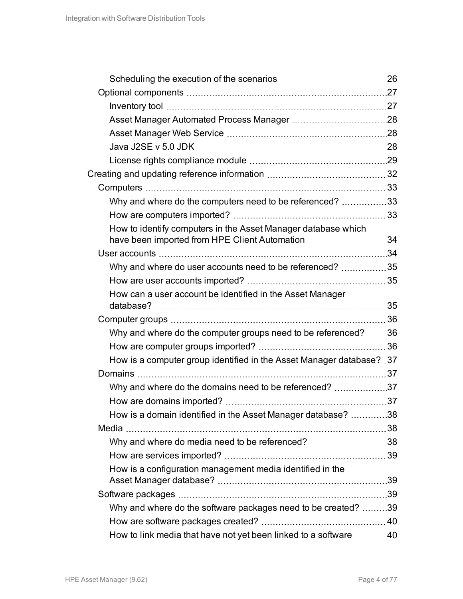| Why and where do the computers need to be referenced? 33             |    |
|----------------------------------------------------------------------|----|
|                                                                      |    |
| How to identify computers in the Asset Manager database which        |    |
| have been imported from HPE Client Automation 34                     |    |
|                                                                      |    |
| Why and where do user accounts need to be referenced? 35             |    |
|                                                                      |    |
| How can a user account be identified in the Asset Manager            |    |
|                                                                      |    |
|                                                                      |    |
| Why and where do the computer groups need to be referenced? 36       |    |
|                                                                      |    |
| How is a computer group identified in the Asset Manager database? 37 |    |
|                                                                      |    |
|                                                                      |    |
|                                                                      |    |
| How is a domain identified in the Asset Manager database? 38         |    |
|                                                                      |    |
| Why and where do media need to be referenced? 38                     |    |
|                                                                      |    |
| How is a configuration management media identified in the            |    |
|                                                                      |    |
|                                                                      |    |
| Why and where do the software packages need to be created? 39        |    |
|                                                                      |    |
| How to link media that have not yet been linked to a software        | 40 |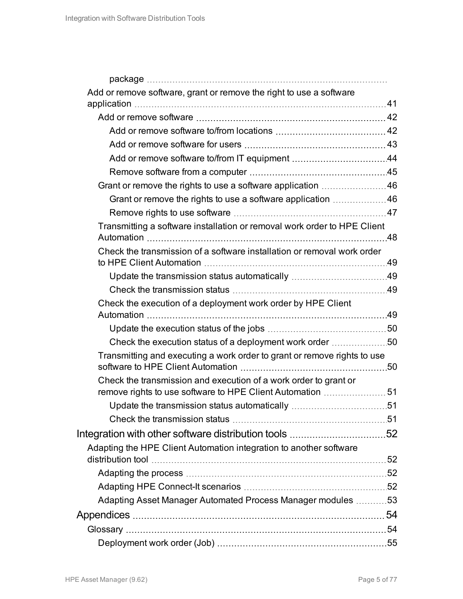| Add or remove software, grant or remove the right to use a software      |  |
|--------------------------------------------------------------------------|--|
|                                                                          |  |
|                                                                          |  |
|                                                                          |  |
|                                                                          |  |
|                                                                          |  |
|                                                                          |  |
| Grant or remove the rights to use a software application 46              |  |
|                                                                          |  |
|                                                                          |  |
| Transmitting a software installation or removal work order to HPE Client |  |
| Check the transmission of a software installation or removal work order  |  |
|                                                                          |  |
|                                                                          |  |
| Check the execution of a deployment work order by HPE Client             |  |
|                                                                          |  |
| Check the execution status of a deployment work order 50                 |  |
| Transmitting and executing a work order to grant or remove rights to use |  |
| Check the transmission and execution of a work order to grant or         |  |
|                                                                          |  |
|                                                                          |  |
|                                                                          |  |
|                                                                          |  |
| Adapting the HPE Client Automation integration to another software       |  |
|                                                                          |  |
|                                                                          |  |
| Adapting Asset Manager Automated Process Manager modules 53              |  |
|                                                                          |  |
|                                                                          |  |
|                                                                          |  |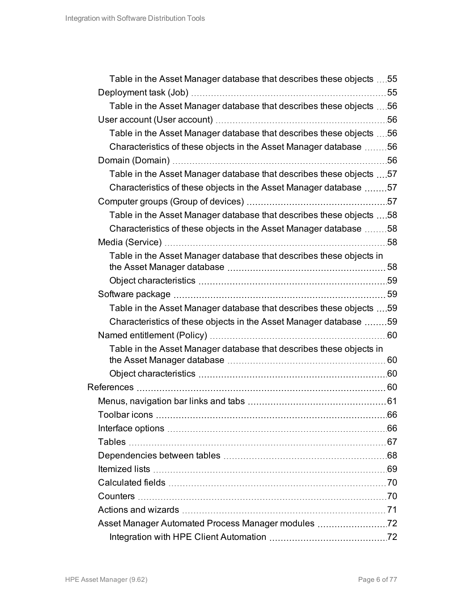| Table in the Asset Manager database that describes these objects 55 |     |
|---------------------------------------------------------------------|-----|
|                                                                     | 55  |
| Table in the Asset Manager database that describes these objects 56 |     |
|                                                                     | .56 |
| Table in the Asset Manager database that describes these objects 56 |     |
| Characteristics of these objects in the Asset Manager database 56   |     |
|                                                                     |     |
| Table in the Asset Manager database that describes these objects 57 |     |
| Characteristics of these objects in the Asset Manager database 57   |     |
|                                                                     |     |
| Table in the Asset Manager database that describes these objects 58 |     |
| Characteristics of these objects in the Asset Manager database 58   |     |
|                                                                     |     |
| Table in the Asset Manager database that describes these objects in |     |
|                                                                     |     |
|                                                                     |     |
|                                                                     |     |
| Table in the Asset Manager database that describes these objects 59 |     |
| Characteristics of these objects in the Asset Manager database 59   |     |
|                                                                     |     |
| Table in the Asset Manager database that describes these objects in |     |
|                                                                     |     |
|                                                                     |     |
|                                                                     |     |
|                                                                     |     |
|                                                                     |     |
|                                                                     |     |
|                                                                     |     |
|                                                                     |     |
|                                                                     |     |
|                                                                     |     |
|                                                                     |     |
|                                                                     |     |
| Asset Manager Automated Process Manager modules 72                  |     |
|                                                                     |     |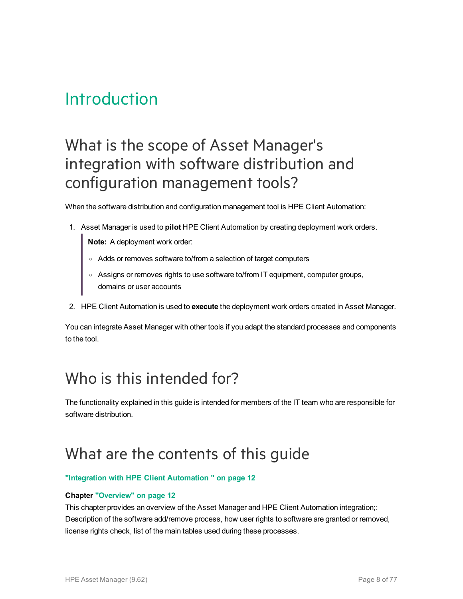## <span id="page-7-0"></span>Introduction

## <span id="page-7-1"></span>What is the scope of Asset Manager's integration with software distribution and configuration management tools?

When the software distribution and configuration management tool is HPE Client Automation:

1. Asset Manager is used to **pilot** HPE Client Automation by creating deployment work orders.

**Note:** A deployment work order:

- <sup>o</sup> Adds or removes software to/from a selection of target computers
- <sup>o</sup> Assigns or removes rights to use software to/from IT equipment, computer groups, domains or user accounts
- 2. HPE Client Automation is used to **execute** the deployment work orders created in Asset Manager.

You can integrate Asset Manager with other tools if you adapt the standard processes and components to the tool.

## <span id="page-7-2"></span>Who is this intended for?

The functionality explained in this guide is intended for members of the IT team who are responsible for software distribution.

## <span id="page-7-3"></span>What are the contents of this guide

#### **["Integration](#page-11-0) with HPE Client Automation " on page 12**

#### **Chapter ["Overview"](#page-11-1) on page 12**

This chapter provides an overview of the Asset Manager and HPE Client Automation integration;: Description of the software add/remove process, how user rights to software are granted or removed, license rights check, list of the main tables used during these processes.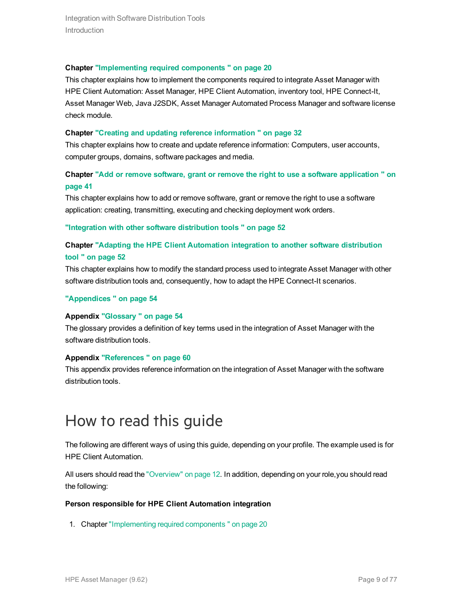Integration with Software Distribution Tools **Introduction** 

#### **Chapter ["Implementing](#page-19-0) required components " on page 20**

This chapter explains how to implement the components required to integrate Asset Manager with HPE Client Automation: Asset Manager, HPE Client Automation, inventory tool, HPE Connect-It, Asset Manager Web, Java J2SDK, Asset Manager Automated Process Manager and software license check module.

#### **Chapter "Creating and updating reference [information](#page-31-0) " on page 32**

This chapter explains how to create and update reference information: Computers, user accounts, computer groups, domains, software packages and media.

### **Chapter "Add or remove software, grant or remove the right to use a software [application](#page-40-0) " on [page](#page-40-0) 41**

This chapter explains how to add or remove software, grant or remove the right to use a software application: creating, transmitting, executing and checking deployment work orders.

**["Integration](#page-51-0) with other software distribution tools " on page 52**

#### **Chapter "Adapting the HPE Client [Automation](#page-51-1) integration to another software distribution tool " on [page](#page-51-1) 52**

This chapter explains how to modify the standard process used to integrate Asset Manager with other software distribution tools and, consequently, how to adapt the HPE Connect-It scenarios.

#### **["Appendices](#page-53-0) " on page 54**

#### **Appendix ["Glossary](#page-53-1) " on page 54**

The glossary provides a definition of key terms used in the integration of Asset Manager with the software distribution tools.

#### **Appendix ["References](#page-59-3) " on page 60**

This appendix provides reference information on the integration of Asset Manager with the software distribution tools.

## <span id="page-8-0"></span>How to read this guide

The following are different ways of using this guide, depending on your profile. The example used is for HPE Client Automation.

All users should read the ["Overview"](#page-11-1) on page 12. In addition, depending on your role,you should read the following:

#### **Person responsible for HPE Client Automation integration**

1. Chapter ["Implementing](#page-19-0) required components " on page 20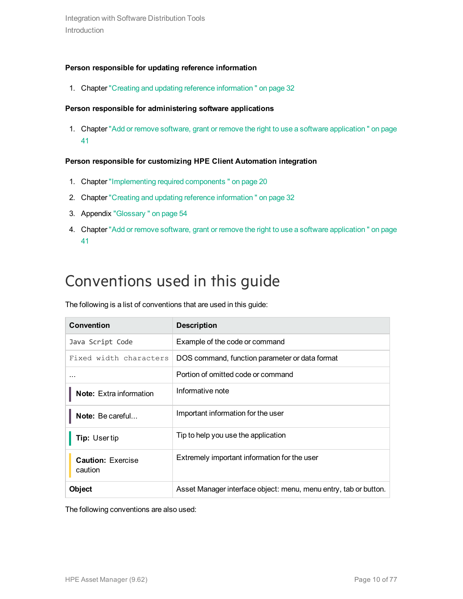#### **Person responsible for updating reference information**

1. Chapter "Creating and updating reference [information](#page-31-0) " on page 32

#### **Person responsible for administering software applications**

1. Chapter "Add or remove software, grant or remove the right to use a software [application](#page-40-0) " on page [41](#page-40-0)

#### **Person responsible for customizing HPE Client Automation integration**

- 1. Chapter ["Implementing](#page-19-0) required components " on page 20
- 2. Chapter "Creating and updating reference [information](#page-31-0) " on page 32
- 3. Appendix ["Glossary](#page-53-1) " on page 54
- 4. Chapter "Add or remove software, grant or remove the right to use a software [application](#page-40-0) " on page [41](#page-40-0)

## <span id="page-9-0"></span>Conventions used in this guide

The following is a list of conventions that are used in this guide:

| Convention                          | <b>Description</b>                                               |
|-------------------------------------|------------------------------------------------------------------|
| Java Script Code                    | Example of the code or command                                   |
| Fixed width characters              | DOS command, function parameter or data format                   |
|                                     | Portion of omitted code or command                               |
| <b>Note:</b> Extra information      | Informative note                                                 |
| Note: Be careful                    | Important information for the user                               |
| <b>Tip: Usertip</b>                 | Tip to help you use the application                              |
| <b>Caution: Exercise</b><br>caution | Extremely important information for the user                     |
| Object                              | Asset Manager interface object: menu, menu entry, tab or button. |

The following conventions are also used: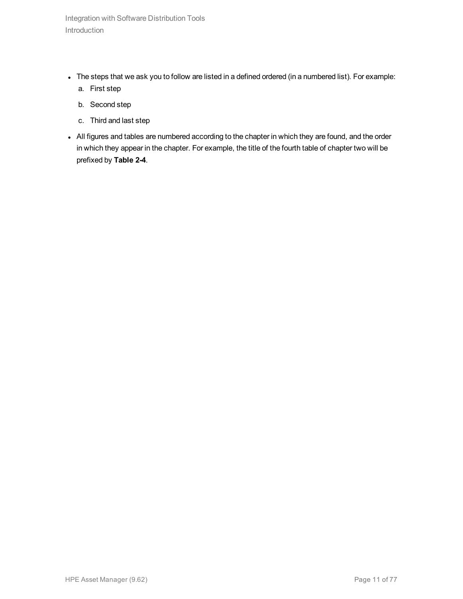- The steps that we ask you to follow are listed in a defined ordered (in a numbered list). For example:
	- a. First step
	- b. Second step
	- c. Third and last step
- All figures and tables are numbered according to the chapter in which they are found, and the order in which they appear in the chapter. For example, the title of the fourth table of chapter two will be prefixed by **Table 2-4**.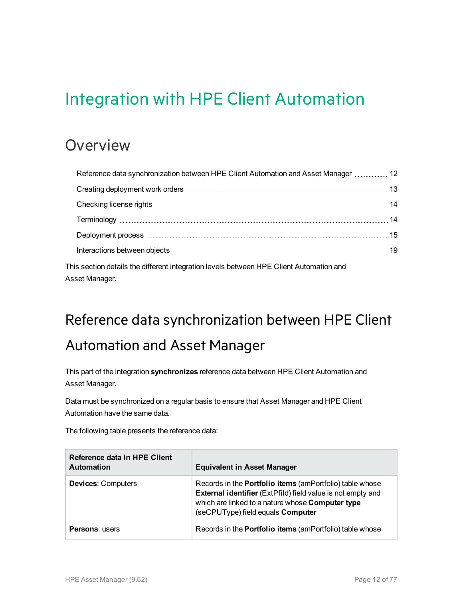# <span id="page-11-0"></span>Integration with HPE Client Automation

## <span id="page-11-1"></span>**Overview**

| Reference data synchronization between HPE Client Automation and Asset Manager  12                        |  |
|-----------------------------------------------------------------------------------------------------------|--|
|                                                                                                           |  |
|                                                                                                           |  |
|                                                                                                           |  |
|                                                                                                           |  |
|                                                                                                           |  |
| This section details the different integration levels between HPE Client Automation and<br>Asset Manager. |  |

# <span id="page-11-2"></span>Reference data synchronization between HPE Client Automation and Asset Manager

This part of the integration **synchronizes** reference data between HPE Client Automation and Asset Manager.

Data must be synchronized on a regular basis to ensure that Asset Manager and HPE Client Automation have the same data.

The following table presents the reference data:

| Reference data in HPE Client<br><b>Automation</b> | <b>Equivalent in Asset Manager</b>                                                                                                                                                                                      |
|---------------------------------------------------|-------------------------------------------------------------------------------------------------------------------------------------------------------------------------------------------------------------------------|
| <b>Devices: Computers</b>                         | Records in the <b>Portfolio items</b> (amPortfolio) table whose<br>External identifier (ExtPfild) field value is not empty and<br>which are linked to a nature whose Computer type<br>(seCPUType) field equals Computer |
| <b>Persons: users</b>                             | Records in the <b>Portfolio items</b> (amPortfolio) table whose                                                                                                                                                         |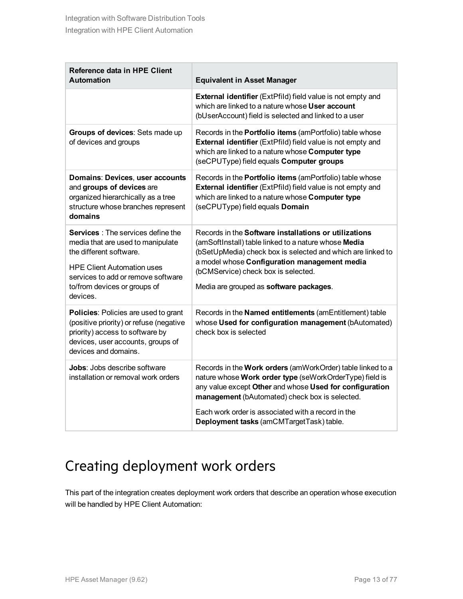| Reference data in HPE Client<br><b>Automation</b>                                                                                                                                                                                | <b>Equivalent in Asset Manager</b>                                                                                                                                                                                                                                                                                    |
|----------------------------------------------------------------------------------------------------------------------------------------------------------------------------------------------------------------------------------|-----------------------------------------------------------------------------------------------------------------------------------------------------------------------------------------------------------------------------------------------------------------------------------------------------------------------|
|                                                                                                                                                                                                                                  | External identifier (ExtPfild) field value is not empty and<br>which are linked to a nature whose User account<br>(bUserAccount) field is selected and linked to a user                                                                                                                                               |
| Groups of devices: Sets made up<br>of devices and groups                                                                                                                                                                         | Records in the <b>Portfolio items</b> (amPortfolio) table whose<br>External identifier (ExtPfild) field value is not empty and<br>which are linked to a nature whose Computer type<br>(seCPUType) field equals Computer groups                                                                                        |
| Domains: Devices, user accounts<br>and groups of devices are<br>organized hierarchically as a tree<br>structure whose branches represent<br>domains                                                                              | Records in the <b>Portfolio items</b> (amPortfolio) table whose<br>External identifier (ExtPfild) field value is not empty and<br>which are linked to a nature whose Computer type<br>(seCPUType) field equals Domain                                                                                                 |
| <b>Services</b> : The services define the<br>media that are used to manipulate<br>the different software.<br><b>HPE Client Automation uses</b><br>services to add or remove software<br>to/from devices or groups of<br>devices. | Records in the <b>Software installations or utilizations</b><br>(amSoftInstall) table linked to a nature whose Media<br>(bSetUpMedia) check box is selected and which are linked to<br>a model whose Configuration management media<br>(bCMService) check box is selected.<br>Media are grouped as software packages. |
| <b>Policies: Policies are used to grant</b><br>(positive priority) or refuse (negative<br>priority) access to software by<br>devices, user accounts, groups of<br>devices and domains.                                           | Records in the Named entitlements (amEntitlement) table<br>whose Used for configuration management (bAutomated)<br>check box is selected                                                                                                                                                                              |
| <b>Jobs:</b> Jobs describe software<br>installation or removal work orders                                                                                                                                                       | Records in the Work orders (amWorkOrder) table linked to a<br>nature whose Work order type (seWorkOrderType) field is<br>any value except Other and whose Used for configuration<br>management (bAutomated) check box is selected.<br>Each work order is associated with a record in the                              |
|                                                                                                                                                                                                                                  | Deployment tasks (amCMTargetTask) table.                                                                                                                                                                                                                                                                              |

## <span id="page-12-0"></span>Creating deployment work orders

This part of the integration creates deployment work orders that describe an operation whose execution will be handled by HPE Client Automation: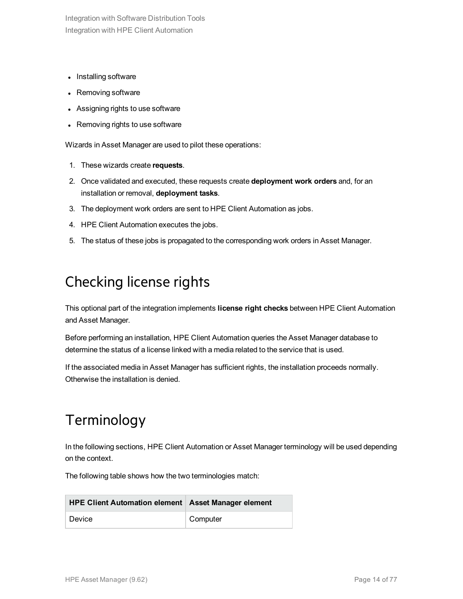- Installing software
- Removing software
- Assigning rights to use software
- Removing rights to use software

Wizards in Asset Manager are used to pilot these operations:

- 1. These wizards create **requests**.
- 2. Once validated and executed, these requests create **deployment work orders** and, for an installation or removal, **deployment tasks**.
- 3. The deployment work orders are sent to HPE Client Automation as jobs.
- 4. HPE Client Automation executes the jobs.
- <span id="page-13-0"></span>5. The status of these jobs is propagated to the corresponding work orders in Asset Manager.

## Checking license rights

This optional part of the integration implements **license right checks** between HPE Client Automation and Asset Manager.

Before performing an installation, HPE Client Automation queries the Asset Manager database to determine the status of a license linked with a media related to the service that is used.

<span id="page-13-1"></span>If the associated media in Asset Manager has sufficient rights, the installation proceeds normally. Otherwise the installation is denied.

## Terminology

In the following sections, HPE Client Automation or Asset Manager terminology will be used depending on the context.

The following table shows how the two terminologies match:

| <b>HPE Client Automation element   Asset Manager element</b> |          |
|--------------------------------------------------------------|----------|
| Device                                                       | Computer |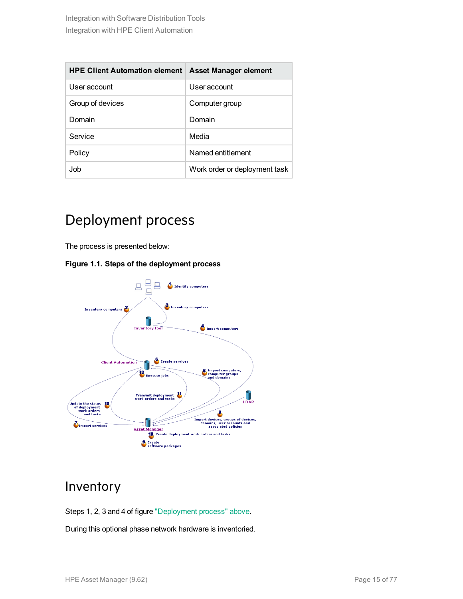| <b>HPE Client Automation element</b> | Asset Manager element         |
|--------------------------------------|-------------------------------|
| User account                         | User account                  |
| Group of devices                     | Computer group                |
| Domain                               | Domain                        |
| Service                              | Media                         |
| Policy                               | Named entitlement             |
| .Ioh                                 | Work order or deployment task |

### <span id="page-14-0"></span>Deployment process

The process is presented below:

#### **Figure 1.1. Steps of the deployment process**



### <span id="page-14-1"></span>Inventory

Steps 1, 2, 3 and 4 of figure ["Deployment](#page-14-0) process" above.

During this optional phase network hardware is inventoried.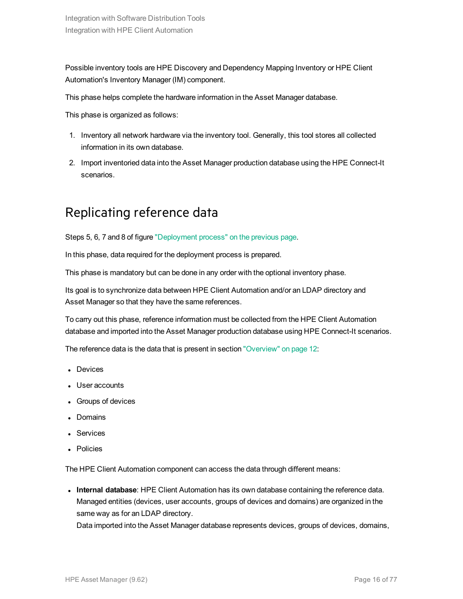Possible inventory tools are HPE Discovery and Dependency Mapping Inventory or HPE Client Automation's Inventory Manager (IM) component.

This phase helps complete the hardware information in the Asset Manager database.

This phase is organized as follows:

- 1. Inventory all network hardware via the inventory tool. Generally, this tool stores all collected information in its own database.
- <span id="page-15-0"></span>2. Import inventoried data into the Asset Manager production database using the HPE Connect-It scenarios.

### Replicating reference data

Steps 5, 6, 7 and 8 of figure ["Deployment](#page-14-0) process" on the previous page.

In this phase, data required for the deployment process is prepared.

This phase is mandatory but can be done in any order with the optional inventory phase.

Its goal is to synchronize data between HPE Client Automation and/or an LDAP directory and Asset Manager so that they have the same references.

To carry out this phase, reference information must be collected from the HPE Client Automation database and imported into the Asset Manager production database using HPE Connect-It scenarios.

The reference data is the data that is present in section ["Overview"](#page-11-1) on page 12:

- Devices
- User accounts
- Groups of devices
- Domains
- **Services**
- Policies

The HPE Client Automation component can access the data through different means:

<sup>l</sup> **Internal database**: HPE Client Automation has its own database containing the reference data. Managed entities (devices, user accounts, groups of devices and domains) are organized in the same way as for an LDAP directory.

Data imported into the Asset Manager database represents devices, groups of devices, domains,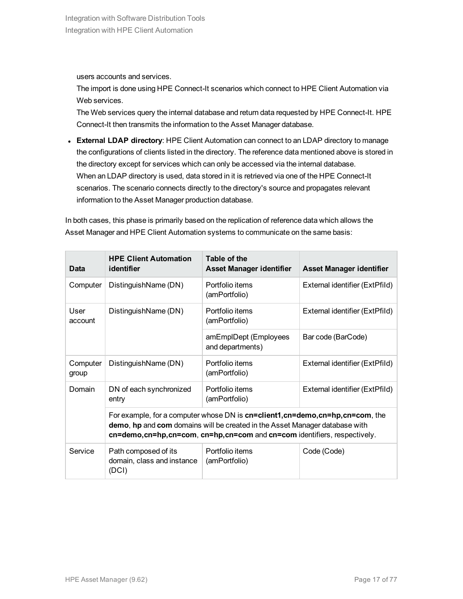users accounts and services.

The import is done using HPE Connect-It scenarios which connect to HPE Client Automation via Web services.

The Web services query the internal database and return data requested by HPE Connect-It. HPE Connect-It then transmits the information to the Asset Manager database.

**External LDAP directory**: HPE Client Automation can connect to an LDAP directory to manage the configurations of clients listed in the directory. The reference data mentioned above is stored in the directory except for services which can only be accessed via the internal database. When an LDAP directory is used, data stored in it is retrieved via one of the HPE Connect-It scenarios. The scenario connects directly to the directory's source and propagates relevant information to the Asset Manager production database.

In both cases, this phase is primarily based on the replication of reference data which allows the Asset Manager and HPE Client Automation systems to communicate on the same basis:

| Data                                    | <b>HPE Client Automation</b><br>identifier                                                                                                                                                                                                 | Table of the<br><b>Asset Manager identifier</b> | <b>Asset Manager identifier</b> |  |
|-----------------------------------------|--------------------------------------------------------------------------------------------------------------------------------------------------------------------------------------------------------------------------------------------|-------------------------------------------------|---------------------------------|--|
| Computer                                | DistinguishName (DN)                                                                                                                                                                                                                       | Portfolio items<br>(amPortfolio)                | External identifier (ExtPfild)  |  |
| User<br>DistinguishName (DN)<br>account |                                                                                                                                                                                                                                            | Portfolio items<br>(amPortfolio)                | External identifier (ExtPfild)  |  |
|                                         |                                                                                                                                                                                                                                            | amEmplDept (Employees<br>and departments)       | Bar code (BarCode)              |  |
| Computer<br>group                       | DistinguishName (DN)                                                                                                                                                                                                                       | Portfolio items<br>(amPortfolio)                | External identifier (ExtPfild)  |  |
| Domain                                  | DN of each synchronized<br>entry                                                                                                                                                                                                           | Portfolio items<br>(amPortfolio)                | External identifier (ExtPfild)  |  |
|                                         | For example, for a computer whose DN is cn=client1, cn=demo, cn=hp, cn=com, the<br>demo, hp and com domains will be created in the Asset Manager database with<br>cn=demo,cn=hp,cn=com, cn=hp,cn=com and cn=com identifiers, respectively. |                                                 |                                 |  |
| Service                                 | Path composed of its<br>domain, class and instance<br>(DCI)                                                                                                                                                                                | Portfolio items<br>(amPortfolio)                | Code (Code)                     |  |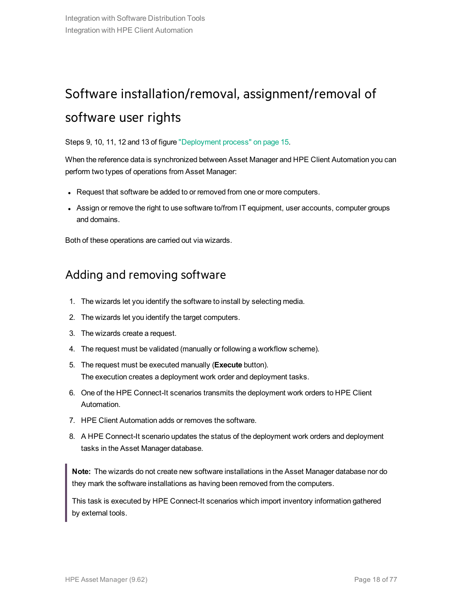## <span id="page-17-0"></span>Software installation/removal, assignment/removal of software user rights

Steps 9, 10, 11, 12 and 13 of figure ["Deployment](#page-14-0) process" on page 15.

When the reference data is synchronized between Asset Manager and HPE Client Automation you can perform two types of operations from Asset Manager:

- Request that software be added to or removed from one or more computers.
- Assign or remove the right to use software to/from IT equipment, user accounts, computer groups and domains.

<span id="page-17-1"></span>Both of these operations are carried out via wizards.

### Adding and removing software

- 1. The wizards let you identify the software to install by selecting media.
- 2. The wizards let you identify the target computers.
- 3. The wizards create a request.
- 4. The request must be validated (manually or following a workflow scheme).
- 5. The request must be executed manually (**Execute** button). The execution creates a deployment work order and deployment tasks.
- 6. One of the HPE Connect-It scenarios transmits the deployment work orders to HPE Client Automation.
- 7. HPE Client Automation adds or removes the software.
- 8. A HPE Connect-It scenario updates the status of the deployment work orders and deployment tasks in the Asset Manager database.

**Note:** The wizards do not create new software installations in the Asset Manager database nor do they mark the software installations as having been removed from the computers.

This task is executed by HPE Connect-It scenarios which import inventory information gathered by external tools.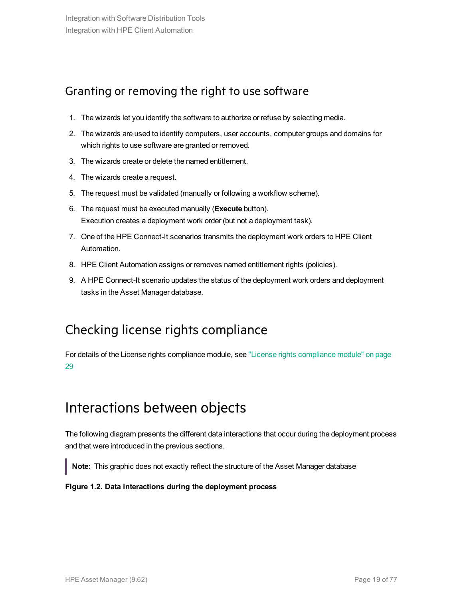### <span id="page-18-0"></span>Granting or removing the right to use software

- 1. The wizards let you identify the software to authorize or refuse by selecting media.
- 2. The wizards are used to identify computers, user accounts, computer groups and domains for which rights to use software are granted or removed.
- 3. The wizards create or delete the named entitlement.
- 4. The wizards create a request.
- 5. The request must be validated (manually or following a workflow scheme).
- 6. The request must be executed manually (**Execute** button). Execution creates a deployment work order (but not a deployment task).
- 7. One of the HPE Connect-It scenarios transmits the deployment work orders to HPE Client Automation.
- 8. HPE Client Automation assigns or removes named entitlement rights (policies).
- <span id="page-18-1"></span>9. A HPE Connect-It scenario updates the status of the deployment work orders and deployment tasks in the Asset Manager database.

### Checking license rights compliance

<span id="page-18-2"></span>For details of the License rights compliance module, see "License rights [compliance](#page-28-0) module" on page [29](#page-28-0)

## Interactions between objects

The following diagram presents the different data interactions that occur during the deployment process and that were introduced in the previous sections.

**Note:** This graphic does not exactly reflect the structure of the Asset Manager database

#### **Figure 1.2. Data interactions during the deployment process**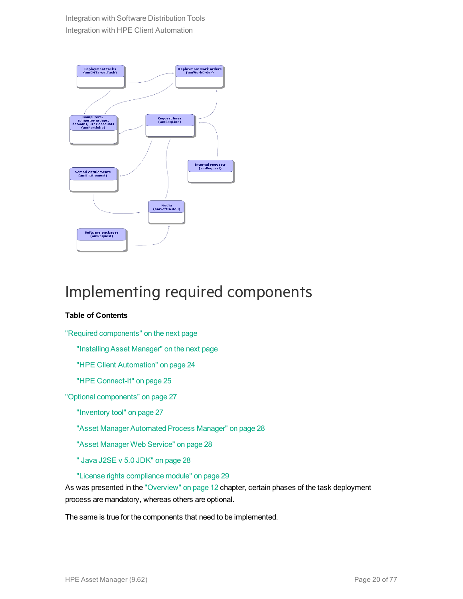

## <span id="page-19-0"></span>Implementing required components

#### **Table of Contents**

"Required [components"](#page-20-0) on the next page

"Installing [Asset Manager"](#page-20-1) on the next page

"HPE Client [Automation"](#page-23-0) on page 24

"HPE [Connect-It"](#page-24-0) on page 25

"Optional [components"](#page-26-0) on page 27

["Inventory](#page-26-1) tool" on page 27

["Asset Manager](#page-27-0) Automated Process Manager" on page 28

["Asset Manager](#page-27-1) Web Service" on page 28

" Java [J2SE](#page-27-2) v 5.0 JDK" on page 28

"License rights [compliance](#page-28-0) module" on page 29

As was presented in the ["Overview"](#page-11-1) on page 12 chapter, certain phases of the task deployment process are mandatory, whereas others are optional.

The same is true for the components that need to be implemented.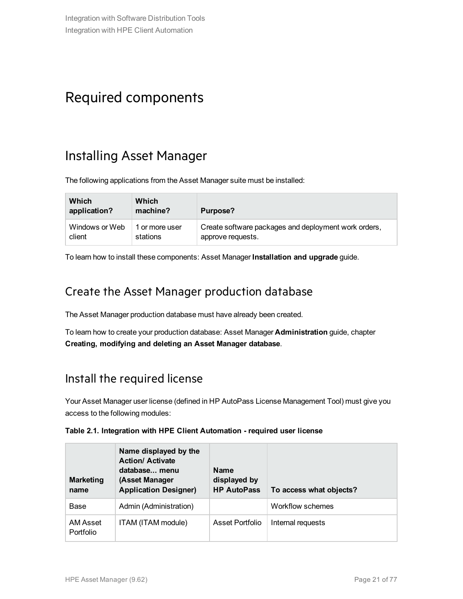## <span id="page-20-0"></span>Required components

### <span id="page-20-1"></span>Installing Asset Manager

The following applications from the Asset Manager suite must be installed:

| Which<br>application? | Which<br>machine? | Purpose?                                             |
|-----------------------|-------------------|------------------------------------------------------|
| Windows or Web        | 1 or more user    | Create software packages and deployment work orders, |
| client                | stations          | approve requests.                                    |

To learn how to install these components: Asset Manager **Installation and upgrade** guide.

### Create the Asset Manager production database

The Asset Manager production database must have already been created.

To learn how to create your production database: Asset Manager **Administration** guide, chapter **Creating, modifying and deleting an Asset Manager database**.

### Install the required license

Your Asset Manager user license (defined in HP AutoPass License Management Tool) must give you access to the following modules:

| Table 2.1. Integration with HPE Client Automation - required user license |  |
|---------------------------------------------------------------------------|--|
|---------------------------------------------------------------------------|--|

| <b>Marketing</b><br>name     | Name displayed by the<br><b>Action/ Activate</b><br>database menu<br>(Asset Manager<br><b>Application Designer)</b> | <b>Name</b><br>displayed by<br><b>HP AutoPass</b> | To access what objects? |
|------------------------------|---------------------------------------------------------------------------------------------------------------------|---------------------------------------------------|-------------------------|
| Base                         | Admin (Administration)                                                                                              |                                                   | Workflow schemes        |
| AM Asset<br><b>Portfolio</b> | ITAM (ITAM module)                                                                                                  | Asset Portfolio                                   | Internal requests       |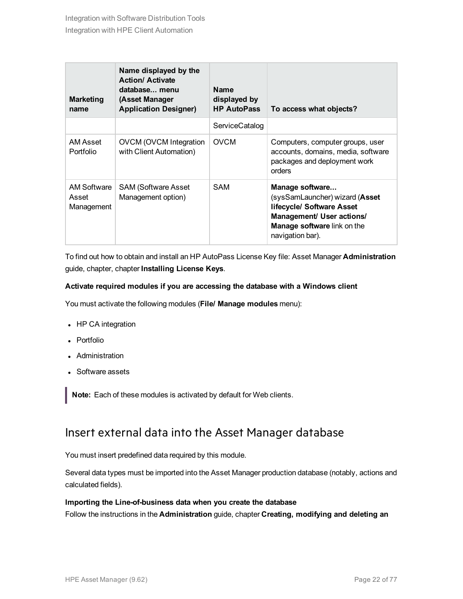| <b>Marketing</b><br>name           | Name displayed by the<br><b>Action/ Activate</b><br>database menu<br>(Asset Manager<br><b>Application Designer)</b> | <b>Name</b><br>displayed by<br><b>HP AutoPass</b> | To access what objects?                                                                                                                                        |
|------------------------------------|---------------------------------------------------------------------------------------------------------------------|---------------------------------------------------|----------------------------------------------------------------------------------------------------------------------------------------------------------------|
|                                    |                                                                                                                     | ServiceCatalog                                    |                                                                                                                                                                |
| AM Asset<br>Portfolio              | <b>OVCM (OVCM Integration</b><br>with Client Automation)                                                            | <b>OVCM</b>                                       | Computers, computer groups, user<br>accounts, domains, media, software<br>packages and deployment work<br>orders                                               |
| AM Software<br>Asset<br>Management | <b>SAM (Software Asset</b><br>Management option)                                                                    | <b>SAM</b>                                        | Manage software<br>(sysSamLauncher) wizard (Asset<br>lifecycle/ Software Asset<br>Management/ User actions/<br>Manage software link on the<br>navigation bar). |

To find out how to obtain and install an HP AutoPass License Key file: Asset Manager **Administration** guide, chapter, chapter **Installing License Keys**.

#### **Activate required modules if you are accessing the database with a Windows client**

You must activate the following modules (**File/ Manage modules** menu):

- HP CA integration
- Portfolio
- Administration
- Software assets

**Note:** Each of these modules is activated by default for Web clients.

### Insert external data into the Asset Manager database

You must insert predefined data required by this module.

Several data types must be imported into the Asset Manager production database (notably, actions and calculated fields).

#### **Importing the Line-of-business data when you create the database**

Follow the instructions in the **Administration** guide, chapter **Creating, modifying and deleting an**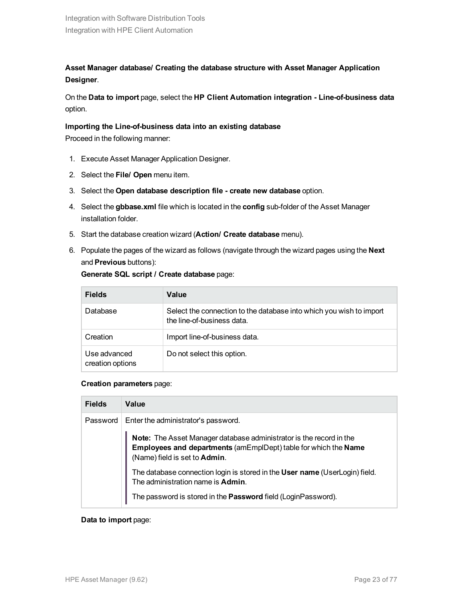**Asset Manager database/ Creating the database structure with Asset Manager Application Designer**.

On the **Data to import** page, select the **HP Client Automation integration - Line-of-business data** option.

#### **Importing the Line-of-business data into an existing database**

Proceed in the following manner:

- 1. Execute Asset Manager Application Designer.
- 2. Select the **File/ Open** menu item.
- 3. Select the **Open database description file - create new database** option.
- 4. Select the **gbbase.xml** file which is located in the **config** sub-folder of the Asset Manager installation folder.
- 5. Start the database creation wizard (**Action/ Create database** menu).
- 6. Populate the pages of the wizard as follows (navigate through the wizard pages using the **Next** and **Previous** buttons):

| Generate SQL script / Create database page: |  |  |  |  |
|---------------------------------------------|--|--|--|--|
|---------------------------------------------|--|--|--|--|

| <b>Fields</b>                    | Value                                                                                             |
|----------------------------------|---------------------------------------------------------------------------------------------------|
| Database                         | Select the connection to the database into which you wish to import<br>the line-of-business data. |
| Creation                         | Import line-of-business data.                                                                     |
| Use advanced<br>creation options | Do not select this option.                                                                        |

#### **Creation parameters** page:

| <b>Fields</b> | Value                                                                                                                                                                   |
|---------------|-------------------------------------------------------------------------------------------------------------------------------------------------------------------------|
| Password      | Enter the administrator's password.                                                                                                                                     |
|               | Note: The Asset Manager database administrator is the record in the<br>Employees and departments (amEmplDept) table for which the Name<br>(Name) field is set to Admin. |
|               | The database connection login is stored in the User name (UserLogin) field.<br>The administration name is Admin.                                                        |
|               | The password is stored in the Password field (LoginPassword).                                                                                                           |

#### **Data to import** page: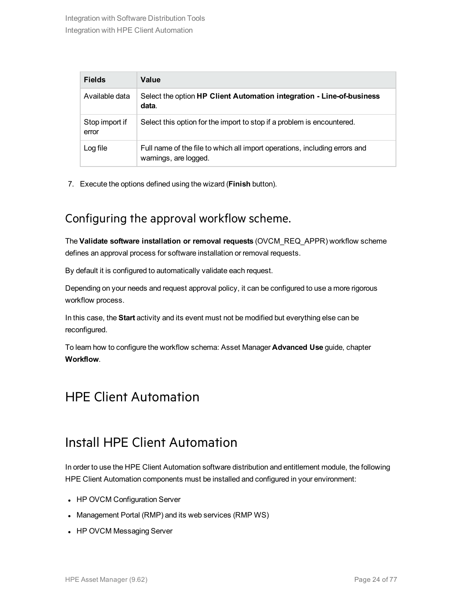| <b>Fields</b>           | Value                                                                                               |
|-------------------------|-----------------------------------------------------------------------------------------------------|
| Available data          | Select the option HP Client Automation integration - Line-of-business<br>data.                      |
| Stop import if<br>error | Select this option for the import to stop if a problem is encountered.                              |
| Log file                | Full name of the file to which all import operations, including errors and<br>warnings, are logged. |

7. Execute the options defined using the wizard (**Finish** button).

### Configuring the approval workflow scheme.

The **Validate software installation or removal requests** (OVCM\_REQ\_APPR) workflow scheme defines an approval process for software installation or removal requests.

By default it is configured to automatically validate each request.

Depending on your needs and request approval policy, it can be configured to use a more rigorous workflow process.

In this case, the **Start** activity and its event must not be modified but everything else can be reconfigured.

<span id="page-23-0"></span>To learn how to configure the workflow schema: Asset Manager **Advanced Use** guide, chapter **Workflow**.

### <span id="page-23-1"></span>HPE Client Automation

### Install HPE Client Automation

In order to use the HPE Client Automation software distribution and entitlement module, the following HPE Client Automation components must be installed and configured in your environment:

- HP OVCM Configuration Server
- Management Portal (RMP) and its web services (RMP WS)
- HP OVCM Messaging Server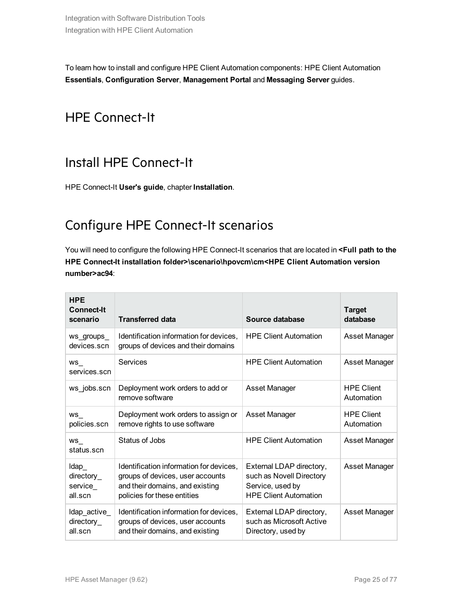<span id="page-24-0"></span>To learn how to install and configure HPE Client Automation components: HPE Client Automation **Essentials**, **Configuration Server**, **Management Portal** and **Messaging Server** guides.

### <span id="page-24-1"></span>HPE Connect-It

### Install HPE Connect-It

<span id="page-24-2"></span>HPE Connect-It **User's guide**, chapter **Installation**.

## Configure HPE Connect-It scenarios

You will need to configure the following HPE Connect-It scenarios that are located in **<Full path to the HPE Connect-It installation folder>\scenario\hpovcm\cm<HPE Client Automation version number>ac94**:

| <b>HPE</b><br><b>Connect-It</b><br>scenario | <b>Transferred data</b>                                                                                                                       | Source database                                                                                          | <b>Target</b><br>database       |
|---------------------------------------------|-----------------------------------------------------------------------------------------------------------------------------------------------|----------------------------------------------------------------------------------------------------------|---------------------------------|
| ws_groups_<br>devices scn                   | Identification information for devices.<br>groups of devices and their domains                                                                | <b>HPE Client Automation</b>                                                                             | Asset Manager                   |
| WS<br>services.scn                          | Services                                                                                                                                      | <b>HPE Client Automation</b>                                                                             | Asset Manager                   |
| ws_jobs.scn                                 | Deployment work orders to add or<br>remove software                                                                                           | <b>Asset Manager</b>                                                                                     | <b>HPE Client</b><br>Automation |
| ws<br>policies.scn                          | Deployment work orders to assign or<br>remove rights to use software                                                                          | <b>Asset Manager</b>                                                                                     | <b>HPE Client</b><br>Automation |
| $WS_$<br>status.scn                         | Status of Jobs                                                                                                                                | <b>HPE Client Automation</b>                                                                             | Asset Manager                   |
| Idap<br>directory_<br>service<br>all.scn    | Identification information for devices,<br>groups of devices, user accounts<br>and their domains, and existing<br>policies for these entities | External LDAP directory,<br>such as Novell Directory<br>Service, used by<br><b>HPE Client Automation</b> | Asset Manager                   |
| Idap_active_<br>directory_<br>all.scn       | Identification information for devices,<br>groups of devices, user accounts<br>and their domains, and existing                                | External LDAP directory,<br>such as Microsoft Active<br>Directory, used by                               | Asset Manager                   |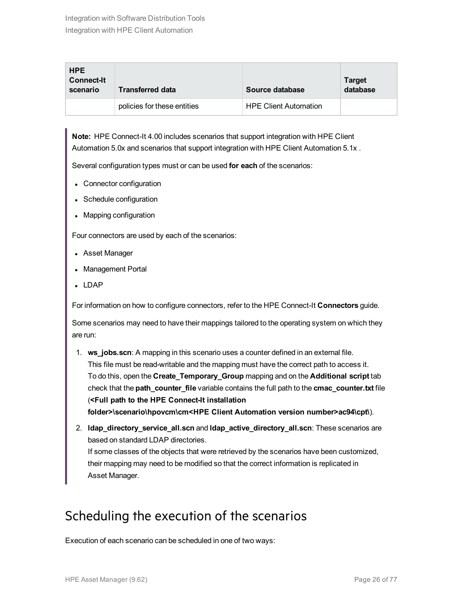| <b>HPE</b><br><b>Connect-It</b><br>scenario | <b>Transferred data</b>     | Source database              | <b>Target</b><br>database |
|---------------------------------------------|-----------------------------|------------------------------|---------------------------|
|                                             | policies for these entities | <b>HPE Client Automation</b> |                           |

**Note:** HPE Connect-It 4.00 includes scenarios that support integration with HPE Client Automation 5.0x and scenarios that support integration with HPE Client Automation 5.1x .

Several configuration types must or can be used **for each** of the scenarios:

- Connector configuration
- Schedule configuration
- Mapping configuration

Four connectors are used by each of the scenarios:

- Asset Manager
- Management Portal
- $LDAP$

For information on how to configure connectors, refer to the HPE Connect-It **Connectors** guide.

Some scenarios may need to have their mappings tailored to the operating system on which they are run:

- 1. **ws\_jobs.scn**: A mapping in this scenario uses a counter defined in an external file. This file must be read-writable and the mapping must have the correct path to access it. To do this, open the **Create\_Temporary\_Group** mapping and on the **Additional script** tab check that the **path\_counter\_file** variable contains the full path to the **cmac\_counter.txt** file (**<Full path to the HPE Connect-It installation folder>\scenario\hpovcm\cm<HPE Client Automation version number>ac94\cpt\**).
- 2. **ldap\_directory\_service\_all.scn** and **ldap\_active\_directory\_all.scn**: These scenarios are based on standard LDAP directories. If some classes of the objects that were retrieved by the scenarios have been customized, their mapping may need to be modified so that the correct information is replicated in

### <span id="page-25-0"></span>Scheduling the execution of the scenarios

Execution of each scenario can be scheduled in one of two ways:

Asset Manager.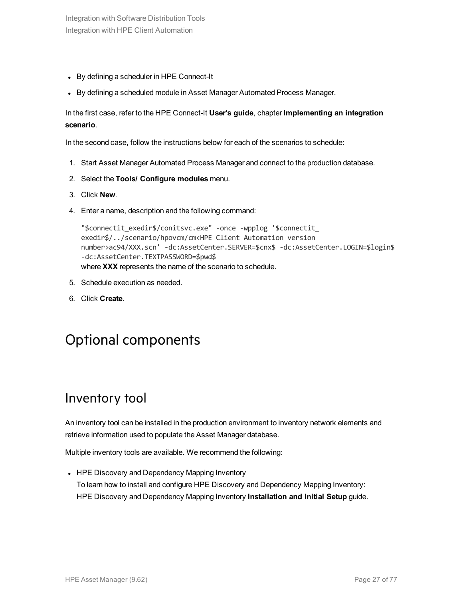- By defining a scheduler in HPE Connect-It
- By defining a scheduled module in Asset Manager Automated Process Manager.

In the first case, refer to the HPE Connect-It **User's guide**, chapter **Implementing an integration scenario**.

In the second case, follow the instructions below for each of the scenarios to schedule:

- 1. Start Asset Manager Automated Process Manager and connect to the production database.
- 2. Select the **Tools/ Configure modules** menu.
- 3. Click **New**.
- 4. Enter a name, description and the following command:

```
"$connectit_exedir$/conitsvc.exe" -once -wpplog '$connectit_
exedir$/../scenario/hpovcm/cm<HPE Client Automation version
number>ac94/XXX.scn' -dc:AssetCenter.SERVER=$cnx$ -dc:AssetCenter.LOGIN=$login$ 
-dc:AssetCenter.TEXTPASSWORD=$pwd$
where XXX represents the name of the scenario to schedule.
```
- 5. Schedule execution as needed.
- <span id="page-26-0"></span>6. Click **Create**.

### Optional components

### <span id="page-26-1"></span>Inventory tool

An inventory tool can be installed in the production environment to inventory network elements and retrieve information used to populate the Asset Manager database.

Multiple inventory tools are available. We recommend the following:

• HPE Discovery and Dependency Mapping Inventory To learn how to install and configure HPE Discovery and Dependency Mapping Inventory: HPE Discovery and Dependency Mapping Inventory **Installation and Initial Setup** guide.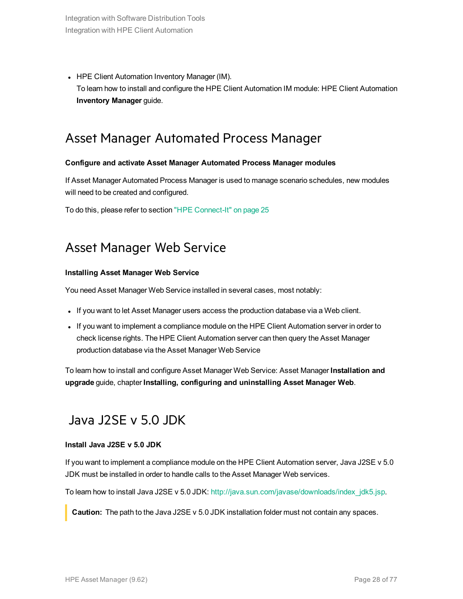• HPE Client Automation Inventory Manager (IM). To learn how to install and configure the HPE Client Automation IM module: HPE Client Automation **Inventory Manager** guide.

### <span id="page-27-0"></span>Asset Manager Automated Process Manager

#### **Configure and activate Asset Manager Automated Process Manager modules**

If Asset Manager Automated Process Manager is used to manage scenario schedules, new modules will need to be created and configured.

<span id="page-27-1"></span>To do this, please refer to section "HPE [Connect-It"](#page-24-0) on page 25

### Asset Manager Web Service

#### **Installing Asset Manager Web Service**

You need Asset Manager Web Service installed in several cases, most notably:

- If you want to let Asset Manager users access the production database via a Web client.
- If you want to implement a compliance module on the HPE Client Automation server in order to check license rights. The HPE Client Automation server can then query the Asset Manager production database via the Asset Manager Web Service

<span id="page-27-2"></span>To learn how to install and configure Asset Manager Web Service: Asset Manager **Installation and upgrade** guide, chapter **Installing, configuring and uninstalling Asset Manager Web**.

### Java J2SE v 5.0 JDK

#### **Install Java J2SE v 5.0 JDK**

If you want to implement a compliance module on the HPE Client Automation server, Java J2SE v 5.0 JDK must be installed in order to handle calls to the Asset Manager Web services.

To learn how to install Java J2SE v 5.0 JDK: [http://java.sun.com/javase/downloads/index\\_jdk5.jsp](http://java.sun.com/javase/downloads/index_jdk5.jsp).

**Caution:** The path to the Java J2SE v 5.0 JDK installation folder must not contain any spaces.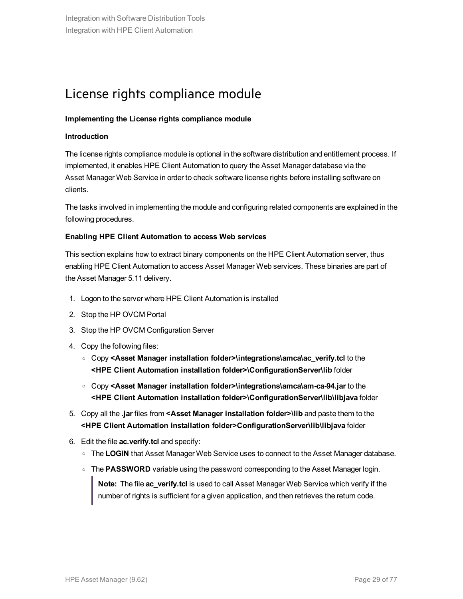## <span id="page-28-0"></span>License rights compliance module

#### **Implementing the License rights compliance module**

#### **Introduction**

The license rights compliance module is optional in the software distribution and entitlement process. If implemented, it enables HPE Client Automation to query the Asset Manager database via the Asset Manager Web Service in order to check software license rights before installing software on clients.

The tasks involved in implementing the module and configuring related components are explained in the following procedures.

#### **Enabling HPE Client Automation to access Web services**

This section explains how to extract binary components on the HPE Client Automation server, thus enabling HPE Client Automation to access Asset Manager Web services. These binaries are part of the Asset Manager 5.11 delivery.

- 1. Logon to the server where HPE Client Automation is installed
- 2. Stop the HP OVCM Portal
- 3. Stop the HP OVCM Configuration Server
- 4. Copy the following files:
	- <sup>o</sup> Copy **<Asset Manager installation folder>\integrations\amca\ac\_verify.tcl** to the **<HPE Client Automation installation folder>\ConfigurationServer\lib** folder
	- <sup>o</sup> Copy **<Asset Manager installation folder>\integrations\amca\am-ca-94.jar** to the **<HPE Client Automation installation folder>\ConfigurationServer\lib\libjava** folder
- 5. Copy all the **.jar** files from **<Asset Manager installation folder>\lib** and paste them to the **<HPE Client Automation installation folder>ConfigurationServer\lib\libjava** folder
- 6. Edit the file **ac.verify.tcl** and specify:
	- o The LOGIN that Asset Manager Web Service uses to connect to the Asset Manager database.
	- o The PASSWORD variable using the password corresponding to the Asset Manager login.

**Note:** The file **ac\_verify.tcl** is used to call Asset Manager Web Service which verify if the number of rights is sufficient for a given application, and then retrieves the return code.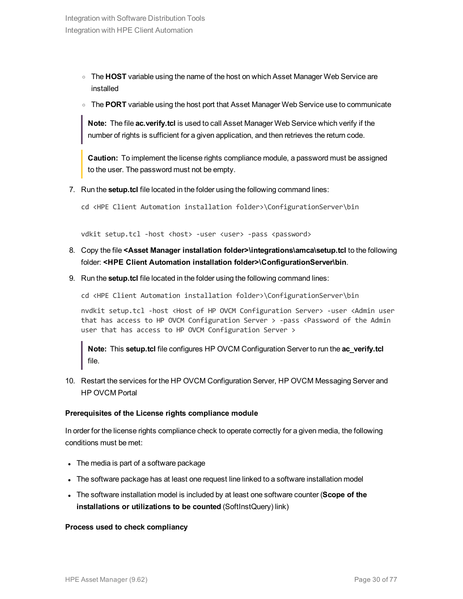- <sup>o</sup> The **HOST** variable using the name of the host on which Asset Manager Web Service are installed
- <sup>o</sup> The **PORT** variable using the host port that Asset Manager Web Service use to communicate

**Note:** The file **ac.verify.tcl** is used to call Asset Manager Web Service which verify if the number of rights is sufficient for a given application, and then retrieves the return code.

**Caution:** To implement the license rights compliance module, a password must be assigned to the user. The password must not be empty.

7. Run the **setup.tcl** file located in the folder using the following command lines:

cd <HPE Client Automation installation folder>\ConfigurationServer\bin

vdkit setup.tcl -host <host> -user <user> -pass <password>

- 8. Copy the file **<Asset Manager installation folder>\integrations\amca\setup.tcl** to the following folder: **<HPE Client Automation installation folder>\ConfigurationServer\bin**.
- 9. Run the **setup.tcl** file located in the folder using the following command lines:

cd <HPE Client Automation installation folder>\ConfigurationServer\bin

nvdkit setup.tcl -host <Host of HP OVCM Configuration Server> -user <Admin user that has access to HP OVCM Configuration Server > -pass <Password of the Admin user that has access to HP OVCM Configuration Server >

**Note:** This **setup.tcl** file configures HP OVCM Configuration Server to run the **ac\_verify.tcl** file.

10. Restart the services for the HP OVCM Configuration Server, HP OVCM Messaging Server and HP OVCM Portal

#### **Prerequisites of the License rights compliance module**

In order for the license rights compliance check to operate correctly for a given media, the following conditions must be met:

- The media is part of a software package
- <sup>l</sup> The software package has at least one request line linked to a software installation model
- <sup>l</sup> The software installation model is included by at least one software counter (**Scope of the installations or utilizations to be counted** (SoftInstQuery) link)

#### **Process used to check compliancy**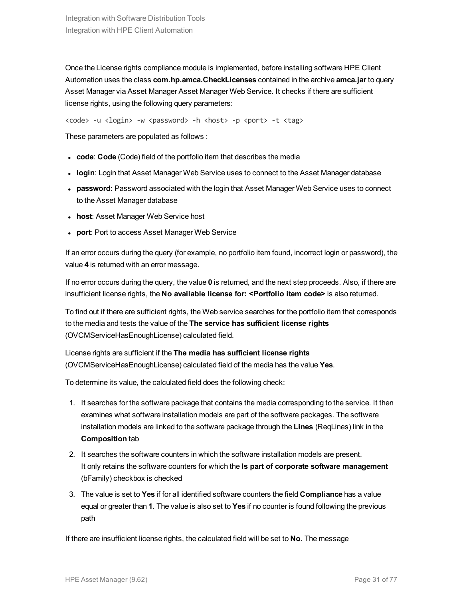Once the License rights compliance module is implemented, before installing software HPE Client Automation uses the class **com.hp.amca.CheckLicenses** contained in the archive **amca.jar** to query Asset Manager via Asset Manager Asset Manager Web Service. It checks if there are sufficient license rights, using the following query parameters:

<code> -u <login> -w <password> -h <host> -p <port> -t <tag></code>

These parameters are populated as follows :

- **code: Code** (Code) field of the portfolio item that describes the media
- login: Login that Asset Manager Web Service uses to connect to the Asset Manager database
- password: Password associated with the login that Asset Manager Web Service uses to connect to the Asset Manager database
- **host: Asset Manager Web Service host**
- **port: Port to access Asset Manager Web Service**

If an error occurs during the query (for example, no portfolio item found, incorrect login or password), the value **4** is returned with an error message.

If no error occurs during the query, the value **0** is returned, and the next step proceeds. Also, if there are insufficient license rights, the **No available license for: <Portfolio item code>** is also returned.

To find out if there are sufficient rights, the Web service searches for the portfolio item that corresponds to the media and tests the value of the **The service has sufficient license rights** (OVCMServiceHasEnoughLicense) calculated field.

License rights are sufficient if the **The media has sufficient license rights** (OVCMServiceHasEnoughLicense) calculated field of the media has the value **Yes**.

To determine its value, the calculated field does the following check:

- 1. It searches for the software package that contains the media corresponding to the service. It then examines what software installation models are part of the software packages. The software installation models are linked to the software package through the **Lines** (ReqLines) link in the **Composition** tab
- 2. It searches the software counters in which the software installation models are present. It only retains the software counters for which the **Is part of corporate software management** (bFamily) checkbox is checked
- 3. The value is set to **Yes** if for all identified software counters the field **Compliance** has a value equal or greater than **1**. The value is also set to **Yes** if no counter is found following the previous path

If there are insufficient license rights, the calculated field will be set to **No**. The message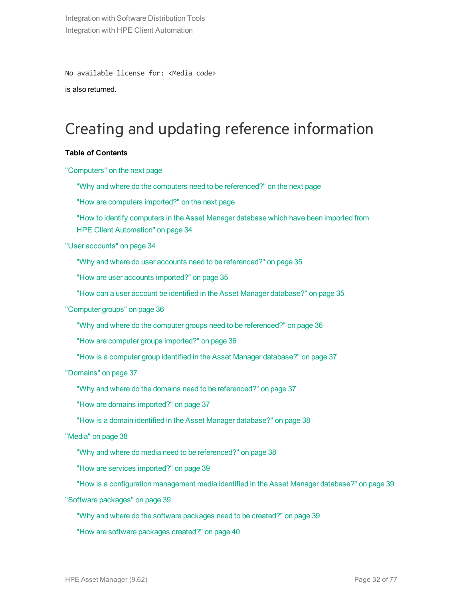No available license for: <Media code>

is also returned.

## <span id="page-31-0"></span>Creating and updating reference information

#### **Table of Contents**

#### ["Computers"](#page-32-0) on the next page

"Why and where do the computers need to be [referenced?"](#page-32-1) on the next page

"How are computers [imported?"](#page-32-2) on the next page

"How to identify computers in the [Asset Manager](#page-33-0) database which have been imported from HPE Client [Automation"](#page-33-0) on page 34

"User [accounts"](#page-33-1) on page 34

"Why and where do user accounts need to be [referenced?"](#page-34-0) on page 35

"How are user accounts [imported?"](#page-34-1) on page 35

"How can a user account be identified in the [Asset Manager](#page-34-2) database?" on page 35

#### ["Computer](#page-35-0) groups" on page 36

"Why and where do the computer groups need to be [referenced?"](#page-35-1) on page 36

"How are computer groups [imported?"](#page-35-2) on page 36

"How is a computer group identified in the [Asset Manager](#page-36-0) database?" on page 37

["Domains"](#page-36-1) on page 37

"Why and where do the domains need to be [referenced?"](#page-36-2) on page 37

"How are domains [imported?"](#page-36-3) on page 37

"How is a domain identified in the [Asset Manager](#page-37-0) database?" on page 38

["Media"](#page-37-1) on page 38

"Why and where do media need to be [referenced?"](#page-37-2) on page 38

"How are services [imported?"](#page-38-0) on page 39

"How is a configuration management media identified in the [Asset Manager](#page-38-1) database?" on page 39

"Software [packages"](#page-38-2) on page 39

"Why and where do the software [packages](#page-38-3) need to be created?" on page 39

"How are software [packages](#page-39-0) created?" on page 40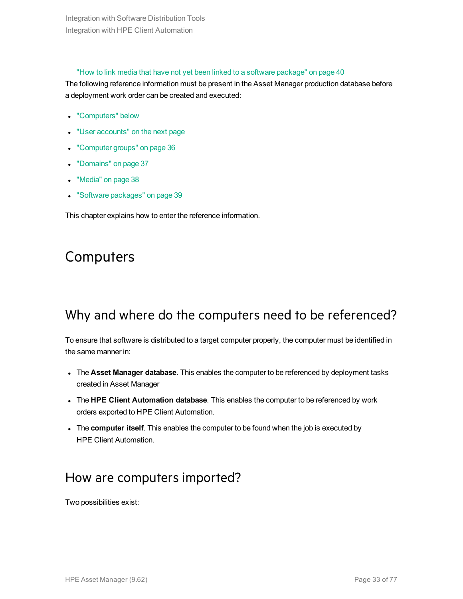#### "How to link media that have not yet been linked to a software [package"](#page-39-1) on page 40

The following reference information must be present in the Asset Manager production database before a deployment work order can be created and executed:

- ["Computers"](#page-32-0) below
- "User [accounts"](#page-33-1) on the next page
- ["Computer](#page-35-0) groups" on page 36
- ["Domains"](#page-36-1) on page 37
- ["Media"](#page-37-1) on page 38
- "Software [packages"](#page-38-2) on page 39

<span id="page-32-0"></span>This chapter explains how to enter the reference information.

## **Computers**

### <span id="page-32-1"></span>Why and where do the computers need to be referenced?

To ensure that software is distributed to a target computer properly, the computer must be identified in the same manner in:

- <sup>l</sup> The **Asset Manager database**. This enables the computer to be referenced by deployment tasks created in Asset Manager
- <sup>l</sup> The **HPE Client Automation database**. This enables the computer to be referenced by work orders exported to HPE Client Automation.
- <span id="page-32-2"></span>**The computer itself**. This enables the computer to be found when the job is executed by HPE Client Automation.

### How are computers imported?

Two possibilities exist: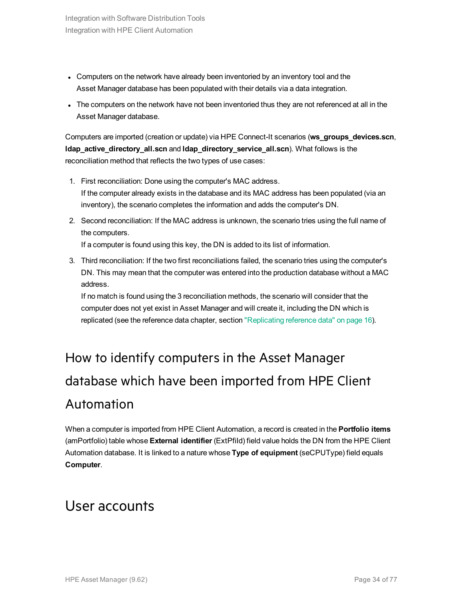- Computers on the network have already been inventoried by an inventory tool and the Asset Manager database has been populated with their details via a data integration.
- The computers on the network have not been inventoried thus they are not referenced at all in the Asset Manager database.

Computers are imported (creation or update) via HPE Connect-It scenarios (**ws\_groups\_devices.scn**, **ldap\_active\_directory\_all.scn** and **ldap\_directory\_service\_all.scn**). What follows is the reconciliation method that reflects the two types of use cases:

- 1. First reconciliation: Done using the computer's MAC address. If the computer already exists in the database and its MAC address has been populated (via an inventory), the scenario completes the information and adds the computer's DN.
- 2. Second reconciliation: If the MAC address is unknown, the scenario tries using the full name of the computers.

If a computer is found using this key, the DN is added to its list of information.

3. Third reconciliation: If the two first reconciliations failed, the scenario tries using the computer's DN. This may mean that the computer was entered into the production database without a MAC address.

If no match is found using the 3 reconciliation methods, the scenario will consider that the computer does not yet exist in Asset Manager and will create it, including the DN which is replicated (see the reference data chapter, section ["Replicating](#page-15-0) reference data" on page 16).

# <span id="page-33-0"></span>How to identify computers in the Asset Manager database which have been imported from HPE Client Automation

When a computer is imported from HPE Client Automation, a record is created in the **Portfolio items** (amPortfolio) table whose **External identifier** (ExtPfiId) field value holds the DN from the HPE Client Automation database. It is linked to a nature whose **Type of equipment** (seCPUType) field equals **Computer**.

## <span id="page-33-1"></span>User accounts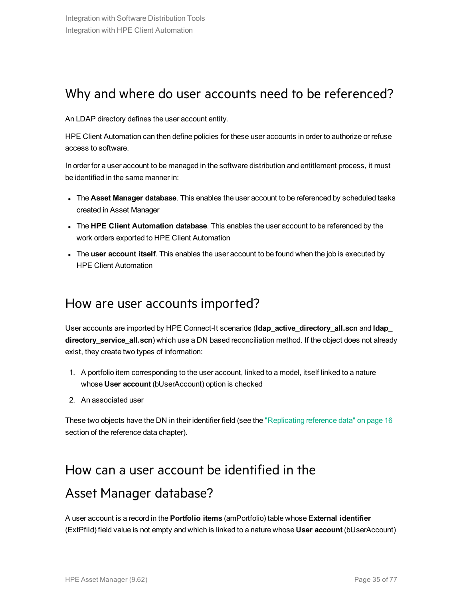### <span id="page-34-0"></span>Why and where do user accounts need to be referenced?

An LDAP directory defines the user account entity.

HPE Client Automation can then define policies for these user accounts in order to authorize or refuse access to software.

In order for a user account to be managed in the software distribution and entitlement process, it must be identified in the same manner in:

- <sup>l</sup> The **Asset Manager database**. This enables the user account to be referenced by scheduled tasks created in Asset Manager
- <sup>l</sup> The **HPE Client Automation database**. This enables the user account to be referenced by the work orders exported to HPE Client Automation
- <span id="page-34-1"></span><sup>l</sup> The **user account itself**. This enables the user account to be found when the job is executed by HPE Client Automation

### How are user accounts imported?

User accounts are imported by HPE Connect-It scenarios (**ldap\_active\_directory\_all.scn** and **ldap\_ directory\_service\_all.scn**) which use a DN based reconciliation method. If the object does not already exist, they create two types of information:

- 1. A portfolio item corresponding to the user account, linked to a model, itself linked to a nature whose **User account** (bUserAccount) option is checked
- 2. An associated user

<span id="page-34-2"></span>These two objects have the DN in their identifier field (see the ["Replicating](#page-15-0) reference data" on page 16 section of the reference data chapter).

### How can a user account be identified in the

### Asset Manager database?

A user account is a record in the **Portfolio items** (amPortfolio) table whose **External identifier** (ExtPfiId) field value is not empty and which is linked to a nature whose **User account** (bUserAccount)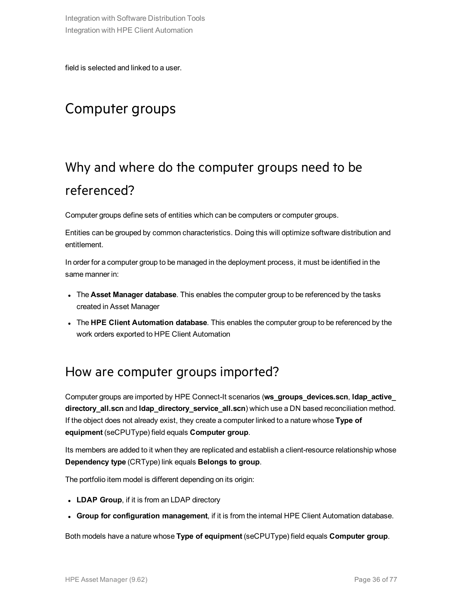<span id="page-35-0"></span>field is selected and linked to a user.

## Computer groups

## <span id="page-35-1"></span>Why and where do the computer groups need to be referenced?

Computer groups define sets of entities which can be computers or computer groups.

Entities can be grouped by common characteristics. Doing this will optimize software distribution and entitlement.

In order for a computer group to be managed in the deployment process, it must be identified in the same manner in:

- <sup>l</sup> The **Asset Manager database**. This enables the computer group to be referenced by the tasks created in Asset Manager
- <span id="page-35-2"></span><sup>l</sup> The **HPE Client Automation database**. This enables the computer group to be referenced by the work orders exported to HPE Client Automation

### How are computer groups imported?

Computer groups are imported by HPE Connect-It scenarios (**ws\_groups\_devices.scn**, **ldap\_active\_ directory\_all.scn** and **ldap\_directory\_service\_all.scn**) which use a DN based reconciliation method. If the object does not already exist, they create a computer linked to a nature whose **Type of equipment** (seCPUType) field equals **Computer group**.

Its members are added to it when they are replicated and establish a client-resource relationship whose **Dependency type** (CRType) link equals **Belongs to group**.

The portfolio item model is different depending on its origin:

- **.** LDAP Group, if it is from an LDAP directory
- <sup>l</sup> **Group for configuration management**, if it is from the internal HPE Client Automation database.

Both models have a nature whose **Type of equipment** (seCPUType) field equals **Computer group**.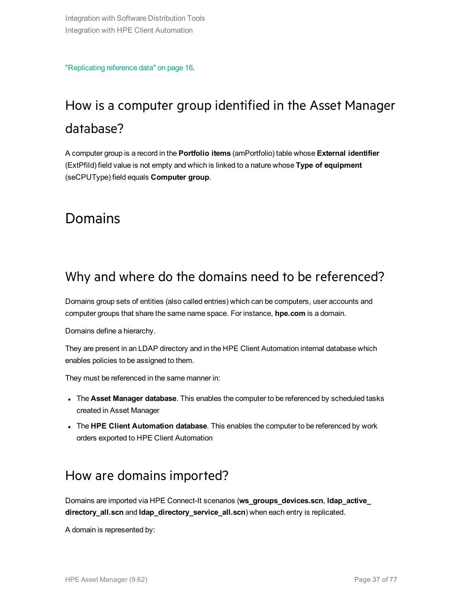["Replicating](#page-15-0) reference data" on page 16.

## How is a computer group identified in the Asset Manager database?

A computer group is a record in the **Portfolio items** (amPortfolio) table whose **External identifier** (ExtPfiId) field value is not empty and which is linked to a nature whose **Type of equipment** (seCPUType) field equals **Computer group**.

### <span id="page-36-1"></span>Domains

### Why and where do the domains need to be referenced?

Domains group sets of entities (also called entries) which can be computers, user accounts and computer groups that share the same name space. For instance, **hpe.com** is a domain.

Domains define a hierarchy.

They are present in an LDAP directory and in the HPE Client Automation internal database which enables policies to be assigned to them.

They must be referenced in the same manner in:

- <sup>l</sup> The **Asset Manager database**. This enables the computer to be referenced by scheduled tasks created in Asset Manager
- <span id="page-36-0"></span><sup>l</sup> The **HPE Client Automation database**. This enables the computer to be referenced by work orders exported to HPE Client Automation

### How are domains imported?

Domains are imported via HPE Connect-It scenarios (**ws\_groups\_devices.scn**, **ldap\_active\_ directory\_all.scn** and **ldap\_directory\_service\_all.scn**) when each entry is replicated.

A domain is represented by: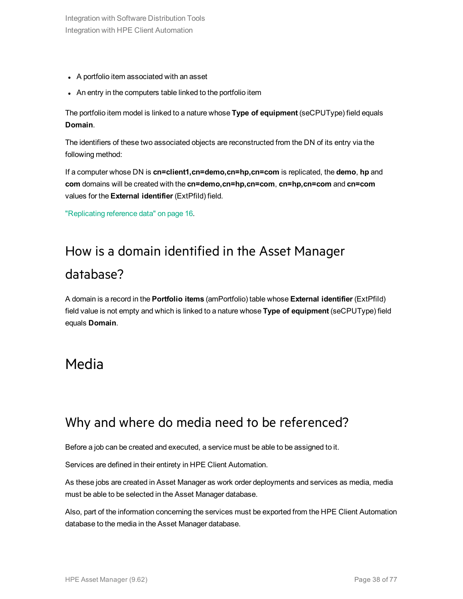- A portfolio item associated with an asset
- An entry in the computers table linked to the portfolio item

The portfolio item model is linked to a nature whose **Type of equipment** (seCPUType) field equals **Domain**.

The identifiers of these two associated objects are reconstructed from the DN of its entry via the following method:

If a computer whose DN is **cn=client1,cn=demo,cn=hp,cn=com** is replicated, the **demo**, **hp** and **com** domains will be created with the **cn=demo,cn=hp,cn=com**, **cn=hp,cn=com** and **cn=com** values for the **External identifier** (ExtPfiId) field.

["Replicating](#page-15-0) reference data" on page 16.

## How is a domain identified in the Asset Manager database?

A domain is a record in the **Portfolio items** (amPortfolio) table whose **External identifier** (ExtPfiId) field value is not empty and which is linked to a nature whose **Type of equipment** (seCPUType) field equals **Domain**.

### <span id="page-37-0"></span>Media

### Why and where do media need to be referenced?

Before a job can be created and executed, a service must be able to be assigned to it.

Services are defined in their entirety in HPE Client Automation.

As these jobs are created in Asset Manager as work order deployments and services as media, media must be able to be selected in the Asset Manager database.

Also, part of the information concerning the services must be exported from the HPE Client Automation database to the media in the Asset Manager database.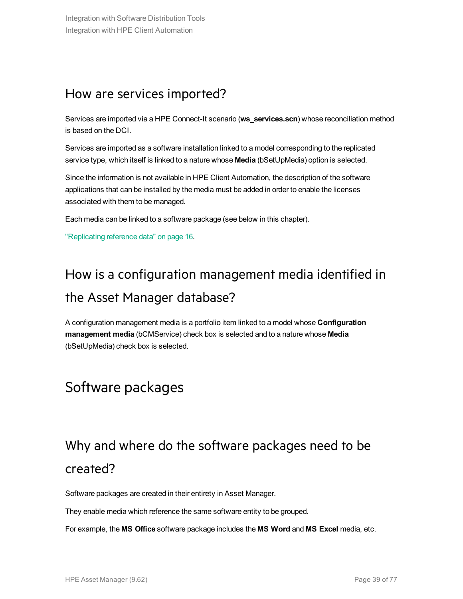### How are services imported?

Services are imported via a HPE Connect-It scenario (**ws\_services.scn**) whose reconciliation method is based on the DCI.

Services are imported as a software installation linked to a model corresponding to the replicated service type, which itself is linked to a nature whose **Media** (bSetUpMedia) option is selected.

Since the information is not available in HPE Client Automation, the description of the software applications that can be installed by the media must be added in order to enable the licenses associated with them to be managed.

Each media can be linked to a software package (see below in this chapter).

["Replicating](#page-15-0) reference data" on page 16.

## How is a configuration management media identified in the Asset Manager database?

A configuration management media is a portfolio item linked to a model whose **Configuration management media** (bCMService) check box is selected and to a nature whose **Media** (bSetUpMedia) check box is selected.

## Software packages

## Why and where do the software packages need to be created?

Software packages are created in their entirety in Asset Manager.

They enable media which reference the same software entity to be grouped.

For example, the **MS Office** software package includes the **MS Word** and **MS Excel** media, etc.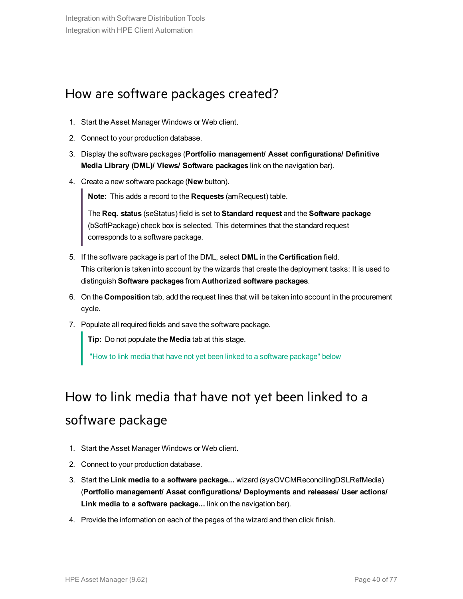### How are software packages created?

- 1. Start the Asset Manager Windows or Web client.
- 2. Connect to your production database.
- 3. Display the software packages (**Portfolio management/ Asset configurations/ Definitive Media Library (DML)/ Views/ Software packages** link on the navigation bar).
- 4. Create a new software package (**New** button).

**Note:** This adds a record to the **Requests** (amRequest) table.

The **Req. status** (seStatus) field is set to **Standard request** and the **Software package** (bSoftPackage) check box is selected. This determines that the standard request corresponds to a software package.

- 5. If the software package is part of the DML, select **DML** in the **Certification** field. This criterion is taken into account by the wizards that create the deployment tasks: It is used to distinguish **Software packages** from **Authorized software packages**.
- 6. On the **Composition** tab, add the request lines that will be taken into account in the procurement cycle.
- 7. Populate all required fields and save the software package.

**Tip:** Do not populate the **Media** tab at this stage.

"How to link media that have not yet been linked to a software [package"](#page-39-0) below

## <span id="page-39-0"></span>How to link media that have not yet been linked to a software package

- 1. Start the Asset Manager Windows or Web client.
- 2. Connect to your production database.
- 3. Start the **Link media to a software package...** wizard (sysOVCMReconcilingDSLRefMedia) (**Portfolio management/ Asset configurations/ Deployments and releases/ User actions/ Link media to a software package...** link on the navigation bar).
- 4. Provide the information on each of the pages of the wizard and then click finish.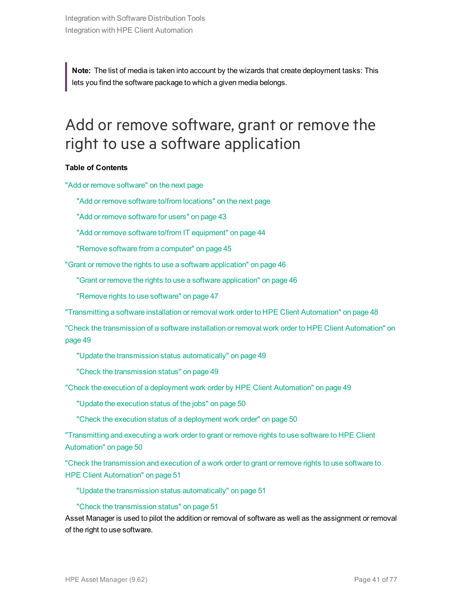**Note:** The list of media is taken into account by the wizards that create deployment tasks: This lets you find the software package to which a given media belongs.

## <span id="page-40-0"></span>Add or remove software, grant or remove the right to use a software application

#### **Table of Contents**

"Add or remove [software"](#page-41-0) on the next page

"Add or remove software to/from [locations"](#page-41-1) on the next page

"Add or remove [software](#page-42-0) for users" on page 43

"Add or remove software to/from IT [equipment"](#page-43-0) on page 44

"Remove software from a [computer"](#page-44-0) on page 45

"Grant or remove the rights to use a software [application"](#page-45-0) on page 46

"Grant or remove the rights to use a software [application"](#page-45-1) on page 46

"Remove rights to use [software"](#page-46-0) on page 47

["Transmitting](#page-47-0) a software installation or removal work order to HPE Client Automation" on page 48

"Check the [transmission](#page-48-0) of a software installation or removal work order to HPE Client Automation" on [page](#page-48-0) 49

"Update the transmission status [automatically"](#page-48-1) on page 49

"Check the [transmission](#page-48-2) status" on page 49

"Check the execution of a deployment work order by HPE Client [Automation"](#page-48-3) on page 49

"Update the [execution](#page-49-0) status of the jobs" on page 50

"Check the execution status of a [deployment](#page-49-1) work order" on page 50

["Transmitting](#page-49-2) and executing a work order to grant or remove rights to use software to HPE Client [Automation"](#page-49-2) on page 50

"Check the [transmission](#page-50-0) and execution of a work order to grant or remove rights to use software to HPE Client [Automation"](#page-50-0) on page 51

"Update the transmission status [automatically"](#page-50-1) on page 51

#### "Check the [transmission](#page-50-2) status" on page 51

Asset Manager is used to pilot the addition or removal of software as well as the assignment or removal of the right to use software.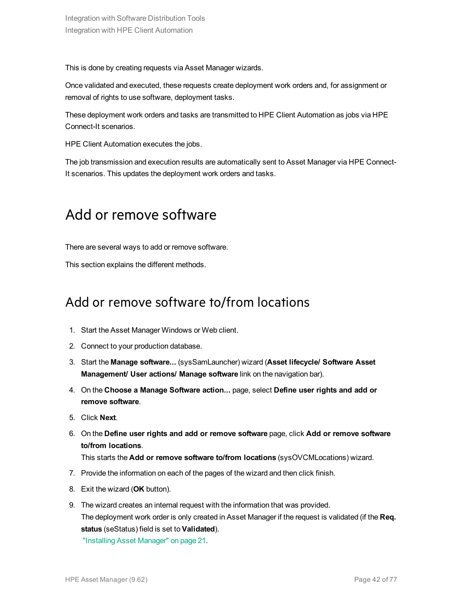This is done by creating requests via Asset Manager wizards.

Once validated and executed, these requests create deployment work orders and, for assignment or removal of rights to use software, deployment tasks.

These deployment work orders and tasks are transmitted to HPE Client Automation as jobs via HPE Connect-It scenarios.

HPE Client Automation executes the jobs.

<span id="page-41-0"></span>The job transmission and execution results are automatically sent to Asset Manager via HPE Connect-It scenarios. This updates the deployment work orders and tasks.

### Add or remove software

There are several ways to add or remove software.

<span id="page-41-1"></span>This section explains the different methods.

### Add or remove software to/from locations

- 1. Start the Asset Manager Windows or Web client.
- 2. Connect to your production database.
- 3. Start the **Manage software...** (sysSamLauncher) wizard (**Asset lifecycle/ Software Asset Management/ User actions/ Manage software** link on the navigation bar).
- 4. On the **Choose a Manage Software action...** page, select **Define user rights and add or remove software**.
- 5. Click **Next**.
- 6. On the **Define user rights and add or remove software** page, click **Add or remove software to/from locations**.

This starts the **Add or remove software to/from locations** (sysOVCMLocations) wizard.

- 7. Provide the information on each of the pages of the wizard and then click finish.
- 8. Exit the wizard (**OK** button).
- 9. The wizard creates an internal request with the information that was provided. The deployment work order is only created in Asset Manager if the request is validated (if the **Req. status** (seStatus) field is set to **Validated**).

"Installing [Asset Manager"](#page-20-0) on page 21.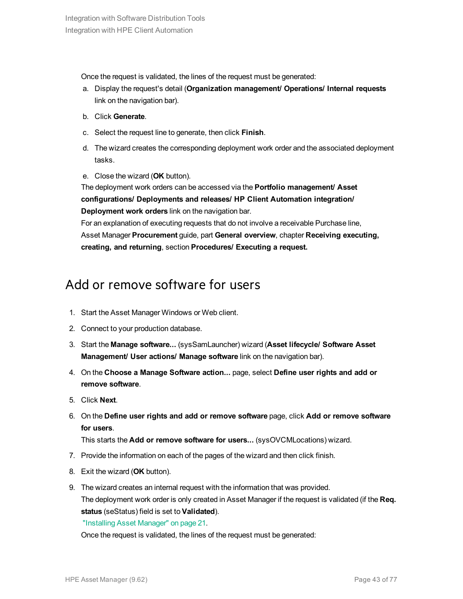Once the request is validated, the lines of the request must be generated:

- a. Display the request's detail (**Organization management/ Operations/ Internal requests** link on the navigation bar).
- b. Click **Generate**.
- c. Select the request line to generate, then click **Finish**.
- d. The wizard creates the corresponding deployment work order and the associated deployment tasks.
- e. Close the wizard (**OK** button).

The deployment work orders can be accessed via the **Portfolio management/ Asset configurations/ Deployments and releases/ HP Client Automation integration/ Deployment work orders** link on the navigation bar.

For an explanation of executing requests that do not involve a receivable Purchase line, Asset Manager **Procurement** guide, part **General overview**, chapter **Receiving executing, creating, and returning**, section **Procedures/ Executing a request.**

### <span id="page-42-0"></span>Add or remove software for users

- 1. Start the Asset Manager Windows or Web client.
- 2. Connect to your production database.
- 3. Start the **Manage software...** (sysSamLauncher) wizard (**Asset lifecycle/ Software Asset Management/ User actions/ Manage software** link on the navigation bar).
- 4. On the **Choose a Manage Software action...** page, select **Define user rights and add or remove software**.
- 5. Click **Next**.
- 6. On the **Define user rights and add or remove software** page, click **Add or remove software for users**.

This starts the **Add or remove software for users...** (sysOVCMLocations) wizard.

- 7. Provide the information on each of the pages of the wizard and then click finish.
- 8. Exit the wizard (**OK** button).
- 9. The wizard creates an internal request with the information that was provided. The deployment work order is only created in Asset Manager if the request is validated (if the **Req. status** (seStatus) field is set to **Validated**).

"Installing [Asset Manager"](#page-20-0) on page 21.

Once the request is validated, the lines of the request must be generated: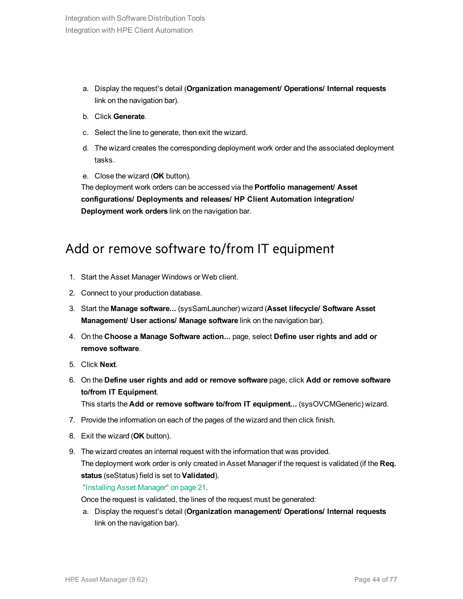- a. Display the request's detail (**Organization management/ Operations/ Internal requests** link on the navigation bar).
- b. Click **Generate**.
- c. Select the line to generate, then exit the wizard.
- d. The wizard creates the corresponding deployment work order and the associated deployment tasks.
- e. Close the wizard (**OK** button).

The deployment work orders can be accessed via the **Portfolio management/ Asset configurations/ Deployments and releases/ HP Client Automation integration/ Deployment work orders** link on the navigation bar.

### <span id="page-43-0"></span>Add or remove software to/from IT equipment

- 1. Start the Asset Manager Windows or Web client.
- 2. Connect to your production database.
- 3. Start the **Manage software...** (sysSamLauncher) wizard (**Asset lifecycle/ Software Asset Management/ User actions/ Manage software** link on the navigation bar).
- 4. On the **Choose a Manage Software action...** page, select **Define user rights and add or remove software**.
- 5. Click **Next**.
- 6. On the **Define user rights and add or remove software** page, click **Add or remove software to/from IT Equipment**.

This starts the **Add or remove software to/from IT equipment...** (sysOVCMGeneric) wizard.

- 7. Provide the information on each of the pages of the wizard and then click finish.
- 8. Exit the wizard (**OK** button).
- 9. The wizard creates an internal request with the information that was provided. The deployment work order is only created in Asset Manager if the request is validated (if the **Req. status** (seStatus) field is set to **Validated**).

"Installing [Asset Manager"](#page-20-0) on page 21.

Once the request is validated, the lines of the request must be generated:

a. Display the request's detail (**Organization management/ Operations/ Internal requests** link on the navigation bar).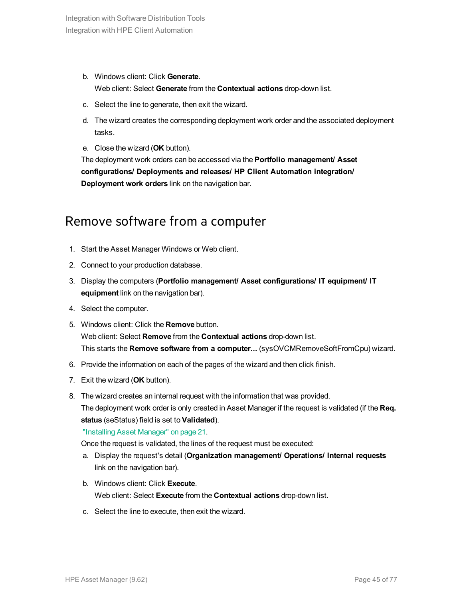b. Windows client: Click **Generate**.

Web client: Select **Generate** from the **Contextual actions** drop-down list.

- c. Select the line to generate, then exit the wizard.
- d. The wizard creates the corresponding deployment work order and the associated deployment tasks.
- e. Close the wizard (**OK** button).

The deployment work orders can be accessed via the **Portfolio management/ Asset configurations/ Deployments and releases/ HP Client Automation integration/ Deployment work orders** link on the navigation bar.

### <span id="page-44-0"></span>Remove software from a computer

- 1. Start the Asset Manager Windows or Web client.
- 2. Connect to your production database.
- 3. Display the computers (**Portfolio management/ Asset configurations/ IT equipment/ IT equipment** link on the navigation bar).
- 4. Select the computer.
- 5. Windows client: Click the **Remove** button. Web client: Select **Remove** from the **Contextual actions** drop-down list. This starts the **Remove software from a computer...** (sysOVCMRemoveSoftFromCpu) wizard.
- 6. Provide the information on each of the pages of the wizard and then click finish.
- 7. Exit the wizard (**OK** button).
- 8. The wizard creates an internal request with the information that was provided. The deployment work order is only created in Asset Manager if the request is validated (if the **Req. status** (seStatus) field is set to **Validated**).

"Installing [Asset Manager"](#page-20-0) on page 21.

Once the request is validated, the lines of the request must be executed:

- a. Display the request's detail (**Organization management/ Operations/ Internal requests** link on the navigation bar).
- b. Windows client: Click **Execute**. Web client: Select **Execute** from the **Contextual actions** drop-down list.
- c. Select the line to execute, then exit the wizard.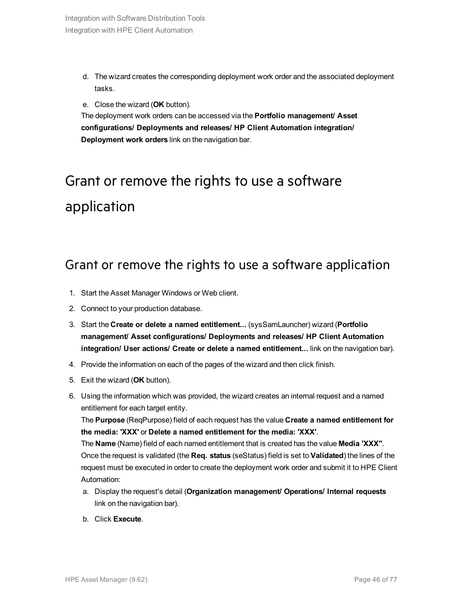- d. The wizard creates the corresponding deployment work order and the associated deployment tasks.
- e. Close the wizard (**OK** button).

The deployment work orders can be accessed via the **Portfolio management/ Asset configurations/ Deployments and releases/ HP Client Automation integration/ Deployment work orders** link on the navigation bar.

# <span id="page-45-0"></span>Grant or remove the rights to use a software application

### <span id="page-45-1"></span>Grant or remove the rights to use a software application

- 1. Start the Asset Manager Windows or Web client.
- 2. Connect to your production database.
- 3. Start the **Create or delete a named entitlement...** (sysSamLauncher) wizard (**Portfolio management/ Asset configurations/ Deployments and releases/ HP Client Automation integration/ User actions/ Create or delete a named entitlement...** link on the navigation bar).
- 4. Provide the information on each of the pages of the wizard and then click finish.
- 5. Exit the wizard (**OK** button).
- 6. Using the information which was provided, the wizard creates an internal request and a named entitlement for each target entity.

The **Purpose** (ReqPurpose) field of each request has the value **Create a named entitlement for the media: 'XXX'** or **Delete a named entitlement for the media: 'XXX'**.

The **Name** (Name) field of each named entitlement that is created has the value **Media 'XXX"**. Once the request is validated (the **Req. status** (seStatus) field is set to **Validated**) the lines of the request must be executed in order to create the deployment work order and submit it to HPE Client Automation:

- a. Display the request's detail (**Organization management/ Operations/ Internal requests** link on the navigation bar).
- b. Click **Execute**.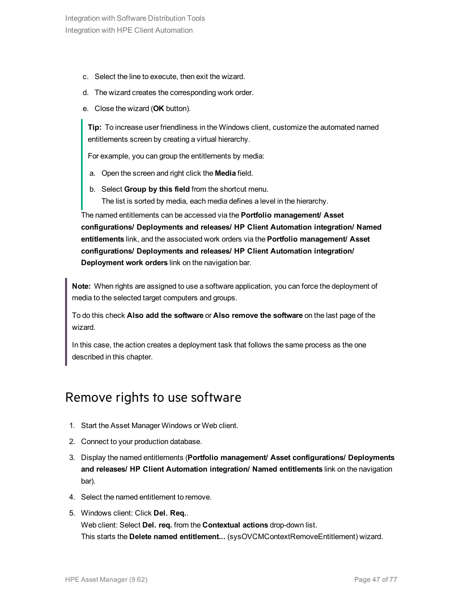- c. Select the line to execute, then exit the wizard.
- d. The wizard creates the corresponding work order.
- e. Close the wizard (**OK** button).

**Tip:** To increase user friendliness in the Windows client, customize the automated named entitlements screen by creating a virtual hierarchy.

For example, you can group the entitlements by media:

- a. Open the screen and right click the **Media** field.
- b. Select **Group by this field** from the shortcut menu.
	- The list is sorted by media, each media defines a level in the hierarchy.

The named entitlements can be accessed via the **Portfolio management/ Asset configurations/ Deployments and releases/ HP Client Automation integration/ Named entitlements** link, and the associated work orders via the **Portfolio management/ Asset configurations/ Deployments and releases/ HP Client Automation integration/ Deployment work orders** link on the navigation bar.

**Note:** When rights are assigned to use a software application, you can force the deployment of media to the selected target computers and groups.

To do this check **Also add the software** or **Also remove the software** on the last page of the wizard.

In this case, the action creates a deployment task that follows the same process as the one described in this chapter.

### <span id="page-46-0"></span>Remove rights to use software

- 1. Start the Asset Manager Windows or Web client.
- 2. Connect to your production database.
- 3. Display the named entitlements (**Portfolio management/ Asset configurations/ Deployments and releases/ HP Client Automation integration/ Named entitlements** link on the navigation bar).
- 4. Select the named entitlement to remove.
- 5. Windows client: Click **Del. Req.**. Web client: Select **Del. req.** from the **Contextual actions** drop-down list. This starts the **Delete named entitlement...** (sysOVCMContextRemoveEntitlement) wizard.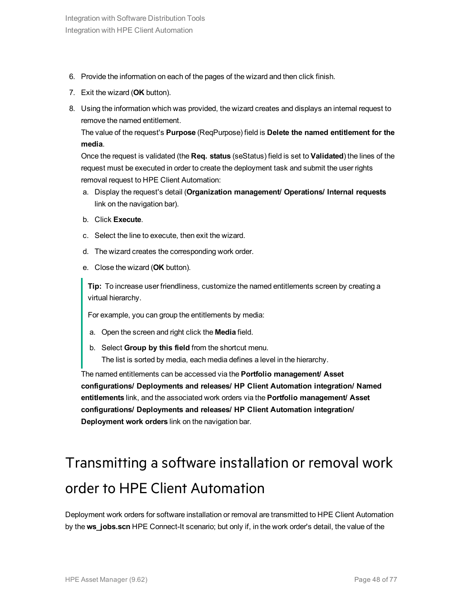- 6. Provide the information on each of the pages of the wizard and then click finish.
- 7. Exit the wizard (**OK** button).
- 8. Using the information which was provided, the wizard creates and displays an internal request to remove the named entitlement.

The value of the request's **Purpose** (ReqPurpose) field is **Delete the named entitlement for the media**.

Once the request is validated (the **Req. status** (seStatus) field is set to **Validated**) the lines of the request must be executed in order to create the deployment task and submit the user rights removal request to HPE Client Automation:

- a. Display the request's detail (**Organization management/ Operations/ Internal requests** link on the navigation bar).
- b. Click **Execute**.
- c. Select the line to execute, then exit the wizard.
- d. The wizard creates the corresponding work order.
- e. Close the wizard (**OK** button).

**Tip:** To increase user friendliness, customize the named entitlements screen by creating a virtual hierarchy.

For example, you can group the entitlements by media:

- a. Open the screen and right click the **Media** field.
- b. Select **Group by this field** from the shortcut menu. The list is sorted by media, each media defines a level in the hierarchy.

The named entitlements can be accessed via the **Portfolio management/ Asset configurations/ Deployments and releases/ HP Client Automation integration/ Named entitlements** link, and the associated work orders via the **Portfolio management/ Asset configurations/ Deployments and releases/ HP Client Automation integration/ Deployment work orders** link on the navigation bar.

# <span id="page-47-0"></span>Transmitting a software installation or removal work order to HPE Client Automation

Deployment work orders for software installation or removal are transmitted to HPE Client Automation by the **ws\_jobs.scn** HPE Connect-It scenario; but only if, in the work order's detail, the value of the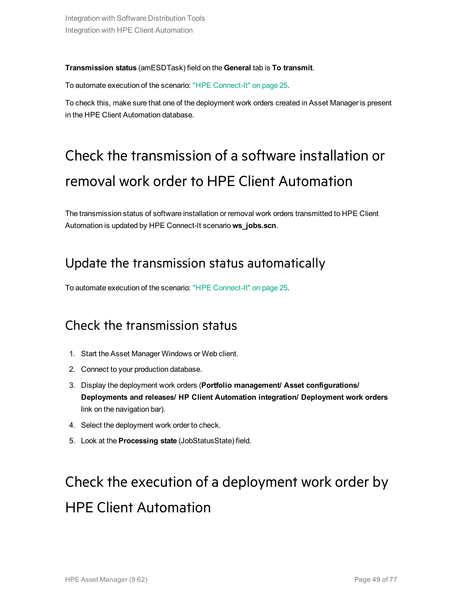#### **Transmission status** (amESDTask) field on the **General** tab is **To transmit**.

To automate execution of the scenario: "HPE [Connect-It"](#page-24-0) on page 25.

<span id="page-48-0"></span>To check this, make sure that one of the deployment work orders created in Asset Manager is present in the HPE Client Automation database.

# Check the transmission of a software installation or removal work order to HPE Client Automation

<span id="page-48-1"></span>The transmission status of software installation or removal work orders transmitted to HPE Client Automation is updated by HPE Connect-It scenario **ws\_jobs.scn**.

### Update the transmission status automatically

<span id="page-48-2"></span>To automate execution of the scenario: "HPE [Connect-It"](#page-24-0) on page 25.

### Check the transmission status

- 1. Start the Asset Manager Windows or Web client.
- 2. Connect to your production database.
- 3. Display the deployment work orders (**Portfolio management/ Asset configurations/ Deployments and releases/ HP Client Automation integration/ Deployment work orders** link on the navigation bar).
- 4. Select the deployment work order to check.
- <span id="page-48-3"></span>5. Look at the **Processing state** (JobStatusState) field.

# Check the execution of a deployment work order by HPE Client Automation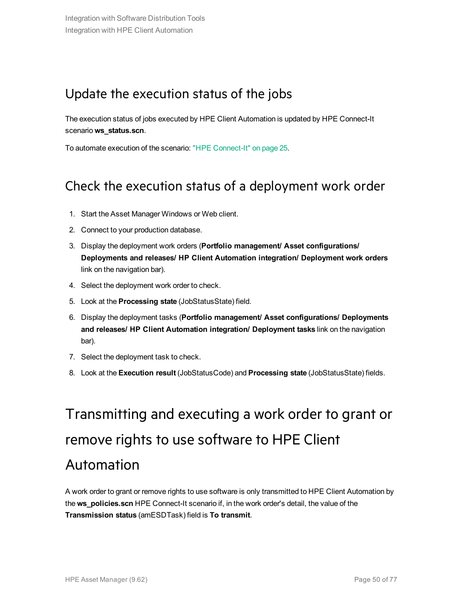### <span id="page-49-0"></span>Update the execution status of the jobs

The execution status of jobs executed by HPE Client Automation is updated by HPE Connect-It scenario **ws\_status.scn**.

<span id="page-49-1"></span>To automate execution of the scenario: "HPE [Connect-It"](#page-24-0) on page 25.

### Check the execution status of a deployment work order

- 1. Start the Asset Manager Windows or Web client.
- 2. Connect to your production database.
- 3. Display the deployment work orders (**Portfolio management/ Asset configurations/ Deployments and releases/ HP Client Automation integration/ Deployment work orders** link on the navigation bar).
- 4. Select the deployment work order to check.
- 5. Look at the **Processing state** (JobStatusState) field.
- 6. Display the deployment tasks (**Portfolio management/ Asset configurations/ Deployments and releases/ HP Client Automation integration/ Deployment tasks** link on the navigation bar).
- 7. Select the deployment task to check.
- <span id="page-49-2"></span>8. Look at the **Execution result** (JobStatusCode) and **Processing state** (JobStatusState) fields.

# Transmitting and executing a work order to grant or remove rights to use software to HPE Client Automation

A work order to grant or remove rights to use software is only transmitted to HPE Client Automation by the **ws\_policies.scn** HPE Connect-It scenario if, in the work order's detail, the value of the **Transmission status** (amESDTask) field is **To transmit**.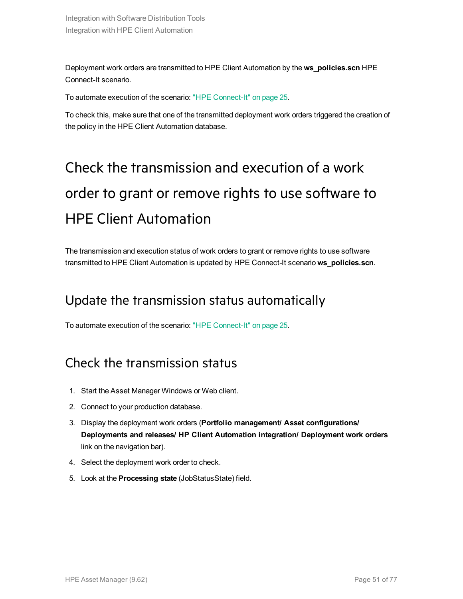Deployment work orders are transmitted to HPE Client Automation by the **ws\_policies.scn** HPE Connect-It scenario.

To automate execution of the scenario: "HPE [Connect-It"](#page-24-0) on page 25.

<span id="page-50-0"></span>To check this, make sure that one of the transmitted deployment work orders triggered the creation of the policy in the HPE Client Automation database.

# Check the transmission and execution of a work order to grant or remove rights to use software to HPE Client Automation

<span id="page-50-1"></span>The transmission and execution status of work orders to grant or remove rights to use software transmitted to HPE Client Automation is updated by HPE Connect-It scenario **ws\_policies.scn**.

### Update the transmission status automatically

<span id="page-50-2"></span>To automate execution of the scenario: "HPE [Connect-It"](#page-24-0) on page 25.

### Check the transmission status

- 1. Start the Asset Manager Windows or Web client.
- 2. Connect to your production database.
- 3. Display the deployment work orders (**Portfolio management/ Asset configurations/ Deployments and releases/ HP Client Automation integration/ Deployment work orders** link on the navigation bar).
- 4. Select the deployment work order to check.
- 5. Look at the **Processing state** (JobStatusState) field.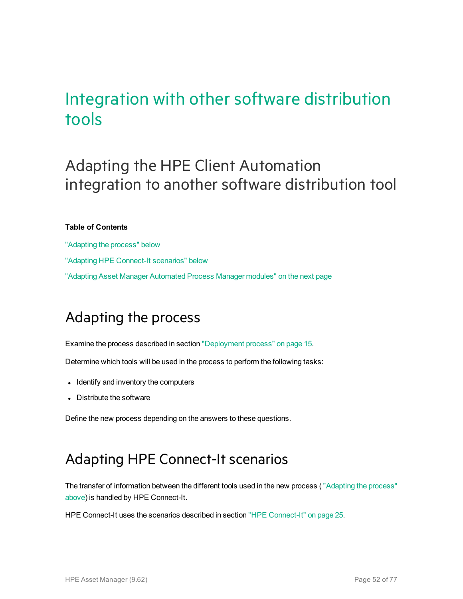## Integration with other software distribution tools

## Adapting the HPE Client Automation integration to another software distribution tool

#### **Table of Contents**

["Adapting](#page-51-0) the process" below "Adapting HPE Connect-It [scenarios"](#page-51-1) below "Adapting [Asset Manager](#page-52-0) Automated Process Manager modules" on the next page

## <span id="page-51-0"></span>Adapting the process

Examine the process described in section ["Deployment](#page-14-0) process" on page 15.

Determine which tools will be used in the process to perform the following tasks:

- Identify and inventory the computers
- Distribute the software

<span id="page-51-1"></span>Define the new process depending on the answers to these questions.

## Adapting HPE Connect-It scenarios

The transfer of information between the different tools used in the new process ( ["Adapting](#page-51-0) the process" [above](#page-51-0)) is handled by HPE Connect-It.

HPE Connect-It uses the scenarios described in section "HPE [Connect-It"](#page-24-0) on page 25.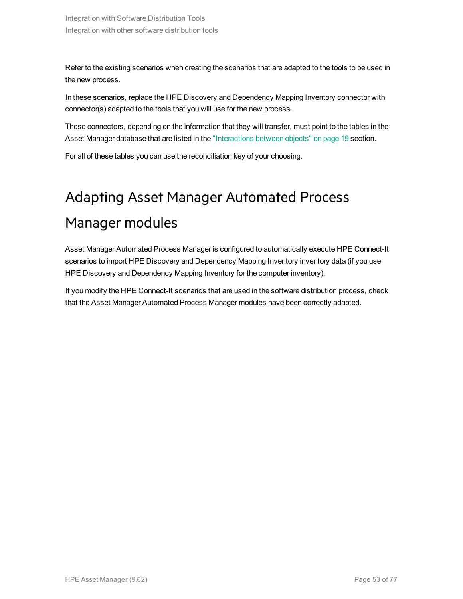Refer to the existing scenarios when creating the scenarios that are adapted to the tools to be used in the new process.

In these scenarios, replace the HPE Discovery and Dependency Mapping Inventory connector with connector(s) adapted to the tools that you will use for the new process.

These connectors, depending on the information that they will transfer, must point to the tables in the Asset Manager database that are listed in the ["Interactions](#page-18-0) between objects" on page 19 section.

<span id="page-52-0"></span>For all of these tables you can use the reconciliation key of your choosing.

# Adapting Asset Manager Automated Process Manager modules

Asset Manager Automated Process Manager is configured to automatically execute HPE Connect-It scenarios to import HPE Discovery and Dependency Mapping Inventory inventory data (if you use HPE Discovery and Dependency Mapping Inventory for the computer inventory).

If you modify the HPE Connect-It scenarios that are used in the software distribution process, check that the Asset Manager Automated Process Manager modules have been correctly adapted.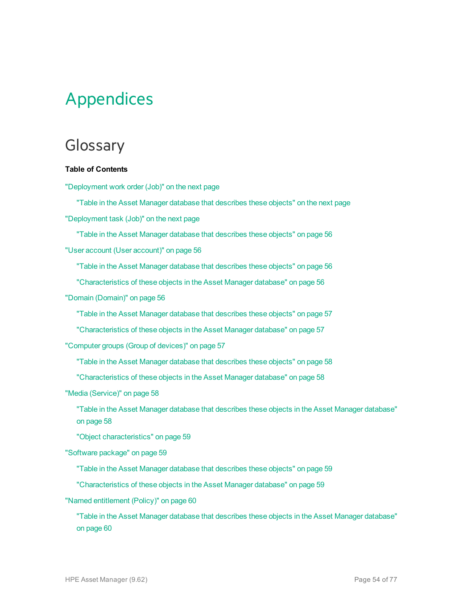# Appendices

## Glossary

#### **Table of Contents**

["Deployment](#page-54-0) work order (Job)" on the next page

"Table in the [Asset Manager](#page-54-1) database that describes these objects" on the next page ["Deployment](#page-54-2) task (Job)" on the next page

"Table in the [Asset Manager](#page-55-0) database that describes these objects" on page 56

"User account (User [account\)"](#page-55-1) on page 56

"Table in the [Asset Manager](#page-55-2) database that describes these objects" on page 56

["Characteristics](#page-55-3) of these objects in the Asset Manager database" on page 56

"Domain [\(Domain\)"](#page-55-4) on page 56

"Table in the [Asset Manager](#page-56-0) database that describes these objects" on page 57

["Characteristics](#page-56-1) of these objects in the Asset Manager database" on page 57

["Computer](#page-56-2) groups (Group of devices)" on page 57

"Table in the [Asset Manager](#page-57-0) database that describes these objects" on page 58

["Characteristics](#page-57-1) of these objects in the Asset Manager database" on page 58

"Media [\(Service\)"](#page-57-2) on page 58

"Table in the [Asset Manager](#page-57-3) database that describes these objects in the Asset Manager database" on [page](#page-57-3) 58

"Object [characteristics"](#page-58-0) on page 59

["Software](#page-58-1) package" on page 59

"Table in the [Asset Manager](#page-58-2) database that describes these objects" on page 59

["Characteristics](#page-58-3) of these objects in the Asset Manager database" on page 59

"Named [entitlement](#page-59-0) (Policy)" on page 60

"Table in the [Asset Manager](#page-59-1) database that describes these objects in the Asset Manager database" on [page](#page-59-1) 60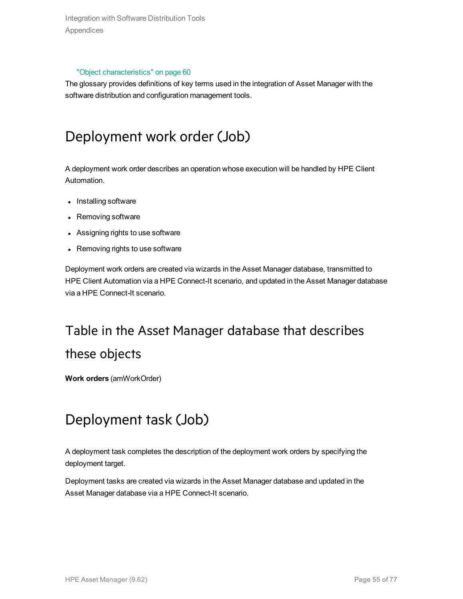Integration with Software Distribution Tools Appendices

#### "Object [characteristics"](#page-59-2) on page 60

<span id="page-54-0"></span>The glossary provides definitions of key terms used in the integration of Asset Manager with the software distribution and configuration management tools.

## Deployment work order (Job)

A deployment work order describes an operation whose execution will be handled by HPE Client Automation.

- Installing software
- Removing software
- Assigning rights to use software
- Removing rights to use software

Deployment work orders are created via wizards in the Asset Manager database, transmitted to HPE Client Automation via a HPE Connect-It scenario, and updated in the Asset Manager database via a HPE Connect-It scenario.

## <span id="page-54-1"></span>Table in the Asset Manager database that describes these objects

<span id="page-54-2"></span>**Work orders** (amWorkOrder)

## Deployment task (Job)

A deployment task completes the description of the deployment work orders by specifying the deployment target.

Deployment tasks are created via wizards in the Asset Manager database and updated in the Asset Manager database via a HPE Connect-It scenario.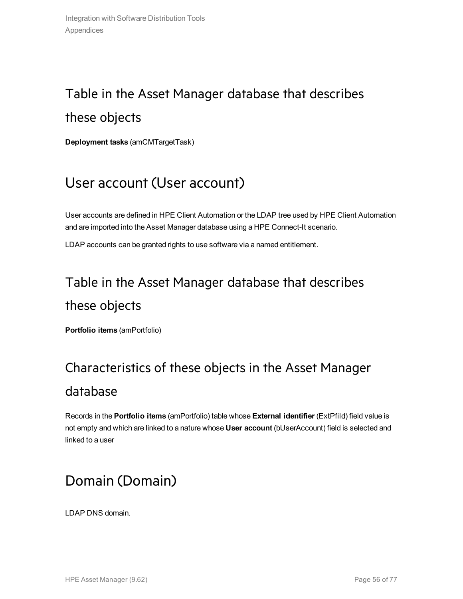## <span id="page-55-0"></span>Table in the Asset Manager database that describes these objects

<span id="page-55-1"></span>**Deployment tasks** (amCMTargetTask)

## User account (User account)

User accounts are defined in HPE Client Automation or the LDAP tree used by HPE Client Automation and are imported into the Asset Manager database using a HPE Connect-It scenario.

<span id="page-55-2"></span>LDAP accounts can be granted rights to use software via a named entitlement.

## Table in the Asset Manager database that describes these objects

<span id="page-55-3"></span>**Portfolio items** (amPortfolio)

## Characteristics of these objects in the Asset Manager database

Records in the **Portfolio items** (amPortfolio) table whose **External identifier** (ExtPfiId) field value is not empty and which are linked to a nature whose **User account** (bUserAccount) field is selected and linked to a user

## <span id="page-55-4"></span>Domain (Domain)

LDAP DNS domain.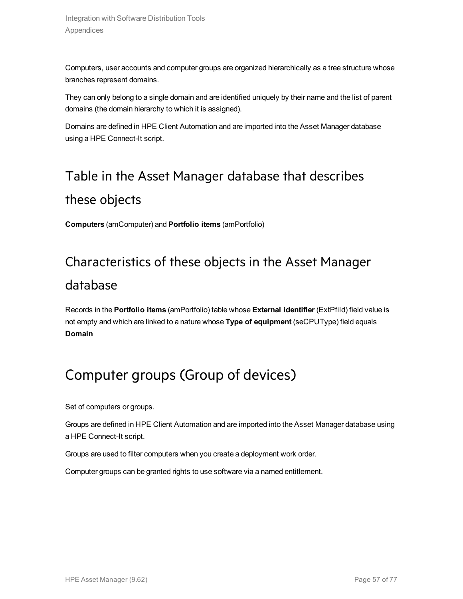Computers, user accounts and computer groups are organized hierarchically as a tree structure whose branches represent domains.

They can only belong to a single domain and are identified uniquely by their name and the list of parent domains (the domain hierarchy to which it is assigned).

<span id="page-56-0"></span>Domains are defined in HPE Client Automation and are imported into the Asset Manager database using a HPE Connect-It script.

## Table in the Asset Manager database that describes these objects

<span id="page-56-1"></span>**Computers** (amComputer) and **Portfolio items** (amPortfolio)

## Characteristics of these objects in the Asset Manager database

Records in the **Portfolio items** (amPortfolio) table whose **External identifier** (ExtPfiId) field value is not empty and which are linked to a nature whose **Type of equipment** (seCPUType) field equals **Domain**

## <span id="page-56-2"></span>Computer groups (Group of devices)

Set of computers or groups.

Groups are defined in HPE Client Automation and are imported into the Asset Manager database using a HPE Connect-It script.

Groups are used to filter computers when you create a deployment work order.

Computer groups can be granted rights to use software via a named entitlement.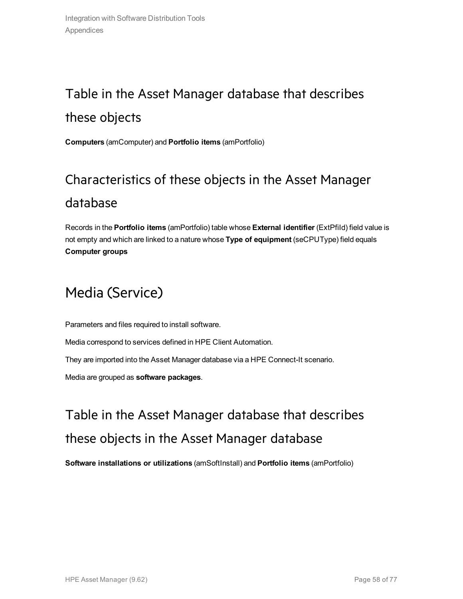## <span id="page-57-0"></span>Table in the Asset Manager database that describes these objects

<span id="page-57-1"></span>**Computers** (amComputer) and **Portfolio items** (amPortfolio)

## Characteristics of these objects in the Asset Manager database

Records in the **Portfolio items** (amPortfolio) table whose **External identifier** (ExtPfiId) field value is not empty and which are linked to a nature whose **Type of equipment** (seCPUType) field equals **Computer groups**

## <span id="page-57-2"></span>Media (Service)

Parameters and files required to install software. Media correspond to services defined in HPE Client Automation. They are imported into the Asset Manager database via a HPE Connect-It scenario. Media are grouped as **software packages**.

<span id="page-57-3"></span>Table in the Asset Manager database that describes these objects in the Asset Manager database

**Software installations or utilizations** (amSoftInstall) and **Portfolio items** (amPortfolio)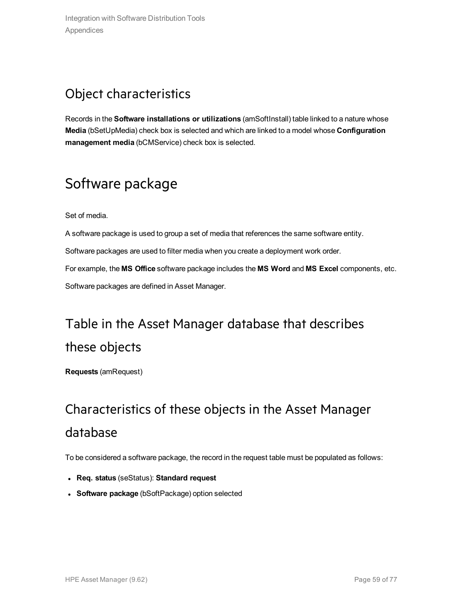## <span id="page-58-0"></span>Object characteristics

Records in the **Software installations or utilizations** (amSoftInstall) table linked to a nature whose **Media** (bSetUpMedia) check box is selected and which are linked to a model whose **Configuration management media** (bCMService) check box is selected.

## <span id="page-58-1"></span>Software package

Set of media.

A software package is used to group a set of media that references the same software entity.

Software packages are used to filter media when you create a deployment work order.

For example, the **MS Office** software package includes the **MS Word** and **MS Excel** components, etc. Software packages are defined in Asset Manager.

## <span id="page-58-2"></span>Table in the Asset Manager database that describes these objects

<span id="page-58-3"></span>**Requests** (amRequest)

## Characteristics of these objects in the Asset Manager database

To be considered a software package, the record in the request table must be populated as follows:

- <sup>l</sup> **Req. status** (seStatus): **Standard request**
- **Software package** (bSoftPackage) option selected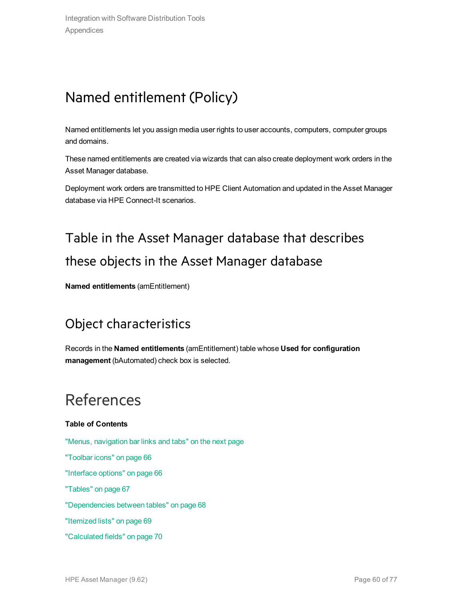## <span id="page-59-0"></span>Named entitlement (Policy)

Named entitlements let you assign media user rights to user accounts, computers, computer groups and domains.

These named entitlements are created via wizards that can also create deployment work orders in the Asset Manager database.

<span id="page-59-1"></span>Deployment work orders are transmitted to HPE Client Automation and updated in the Asset Manager database via HPE Connect-It scenarios.

## Table in the Asset Manager database that describes these objects in the Asset Manager database

<span id="page-59-2"></span>**Named entitlements** (amEntitlement)

## Object characteristics

Records in the **Named entitlements** (amEntitlement) table whose **Used for configuration management** (bAutomated) check box is selected.

## References

#### **Table of Contents**

"Menus, [navigation](#page-60-0) bar links and tabs" on the next page ["Toolbar](#page-65-0) icons" on page 66 ["Interface](#page-65-1) options" on page 66 ["Tables"](#page-66-0) on page 67 ["Dependencies](#page-67-0) between tables" on page 68 ["Itemized](#page-68-0) lists" on page 69 ["Calculated](#page-69-0) fields" on page 70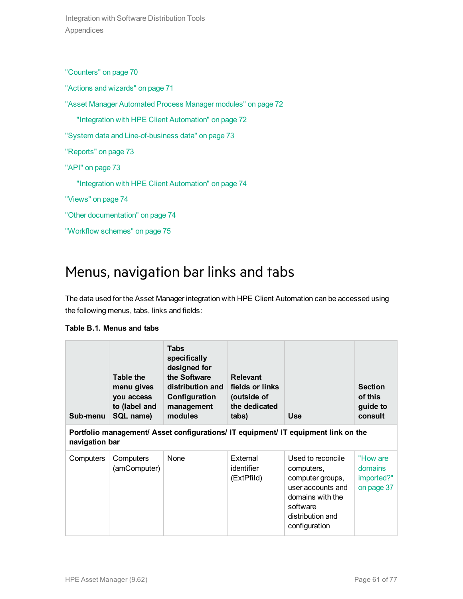Integration with Software Distribution Tools Appendices

["Counters"](#page-69-1) on page 70

"Actions and [wizards"](#page-70-0) on page 71

["Asset Manager](#page-71-0) Automated Process Manager modules" on page 72

"Integration with HPE Client [Automation"](#page-71-1) on page 72

"System data and [Line-of-business](#page-72-0) data" on page 73

["Reports"](#page-72-1) on page 73

["API"](#page-72-2) on page 73

"Integration with HPE Client [Automation"](#page-73-0) on page 74

["Views"](#page-73-1) on page 74

"Other [documentation"](#page-73-2) on page 74

<span id="page-60-0"></span>["Workflow](#page-74-0) schemes" on page 75

### Menus, navigation bar links and tabs

The data used for the Asset Manager integration with HPE Client Automation can be accessed using the following menus, tabs, links and fields:

| Sub-menu                                                                                             | Table the<br>menu gives<br>you access<br>to (label and<br>SQL name) | <b>Tabs</b><br>specifically<br>designed for<br>the Software<br>distribution and<br>Configuration<br>management<br>modules | <b>Relevant</b><br>fields or links<br>(outside of<br>the dedicated<br>tabs) | <b>Use</b>                                                                                                                                    | <b>Section</b><br>of this<br>guide to<br>consult |  |
|------------------------------------------------------------------------------------------------------|---------------------------------------------------------------------|---------------------------------------------------------------------------------------------------------------------------|-----------------------------------------------------------------------------|-----------------------------------------------------------------------------------------------------------------------------------------------|--------------------------------------------------|--|
| Portfolio management/ Asset configurations/ IT equipment/ IT equipment link on the<br>navigation bar |                                                                     |                                                                                                                           |                                                                             |                                                                                                                                               |                                                  |  |
| Computers                                                                                            | Computers<br>(amComputer)                                           | None                                                                                                                      | External<br>identifier<br>(ExtPfild)                                        | Used to reconcile<br>computers,<br>computer groups,<br>user accounts and<br>domains with the<br>software<br>distribution and<br>configuration | "How are<br>domains<br>imported?"<br>on page 37  |  |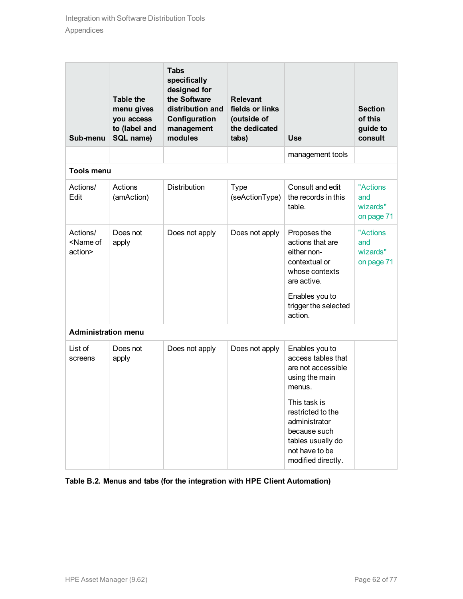| Sub-menu                                     | <b>Table the</b><br>menu gives<br>you access<br>to (label and<br>SQL name) | <b>Tabs</b><br>specifically<br>designed for<br>the Software<br>distribution and<br>Configuration<br>management<br>modules | <b>Relevant</b><br>fields or links<br>(outside of<br>the dedicated<br>tabs) | <b>Use</b>                                                                                                                                             | <b>Section</b><br>of this<br>guide to<br>consult |
|----------------------------------------------|----------------------------------------------------------------------------|---------------------------------------------------------------------------------------------------------------------------|-----------------------------------------------------------------------------|--------------------------------------------------------------------------------------------------------------------------------------------------------|--------------------------------------------------|
|                                              |                                                                            |                                                                                                                           |                                                                             | management tools                                                                                                                                       |                                                  |
| <b>Tools menu</b>                            |                                                                            |                                                                                                                           |                                                                             |                                                                                                                                                        |                                                  |
| Actions/<br>Edit                             | Actions<br>(amAction)                                                      | <b>Distribution</b>                                                                                                       | <b>Type</b><br>(seActionType)                                               | Consult and edit<br>the records in this<br>table.                                                                                                      | "Actions<br>and<br>wizards"<br>on page 71        |
| Actions/<br><name of<br="">action&gt;</name> | Does not<br>apply                                                          | Does not apply                                                                                                            | Does not apply                                                              | Proposes the<br>actions that are<br>either non-<br>contextual or<br>whose contexts<br>are active.<br>Enables you to<br>trigger the selected<br>action. | "Actions"<br>and<br>wizards"<br>on page 71       |
| <b>Administration menu</b>                   |                                                                            |                                                                                                                           |                                                                             |                                                                                                                                                        |                                                  |
| List of<br>screens                           | Does not<br>apply                                                          | Does not apply                                                                                                            | Does not apply                                                              | Enables you to<br>access tables that<br>are not accessible<br>using the main<br>menus.                                                                 |                                                  |
|                                              |                                                                            |                                                                                                                           |                                                                             | This task is<br>restricted to the<br>administrator<br>because such<br>tables usually do<br>not have to be<br>modified directly.                        |                                                  |

**Table B.2. Menus and tabs (for the integration with HPE Client Automation)**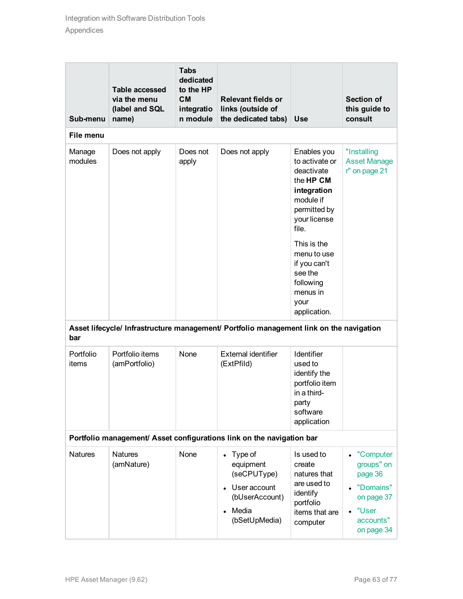| Sub-menu                                                                                       | <b>Table accessed</b><br>via the menu<br>(label and SQL<br>name) | <b>Tabs</b><br>dedicated<br>to the HP<br><b>CM</b><br>integratio<br>n module | <b>Relevant fields or</b><br>links (outside of<br>the dedicated tabs)                           | <b>Use</b>                                                                                                                                                                                                                              | <b>Section of</b><br>this guide to<br>consult                                                                  |
|------------------------------------------------------------------------------------------------|------------------------------------------------------------------|------------------------------------------------------------------------------|-------------------------------------------------------------------------------------------------|-----------------------------------------------------------------------------------------------------------------------------------------------------------------------------------------------------------------------------------------|----------------------------------------------------------------------------------------------------------------|
| File menu                                                                                      |                                                                  |                                                                              |                                                                                                 |                                                                                                                                                                                                                                         |                                                                                                                |
| Manage<br>modules                                                                              | Does not apply                                                   | Does not<br>apply                                                            | Does not apply                                                                                  | Enables you<br>to activate or<br>deactivate<br>the HP CM<br>integration<br>module if<br>permitted by<br>your license<br>file.<br>This is the<br>menu to use<br>if you can't<br>see the<br>following<br>menus in<br>your<br>application. | "Installing<br><b>Asset Manage</b><br>r" on page 21                                                            |
| Asset lifecycle/ Infrastructure management/ Portfolio management link on the navigation<br>bar |                                                                  |                                                                              |                                                                                                 |                                                                                                                                                                                                                                         |                                                                                                                |
| Portfolio<br>items                                                                             | Portfolio items<br>(amPortfolio)                                 | None                                                                         | <b>External identifier</b><br>(ExtPfild)                                                        | Identifier<br>used to<br>identify the<br>portfolio item<br>in a third-<br>party<br>software<br>application                                                                                                                              |                                                                                                                |
| Portfolio management/ Asset configurations link on the navigation bar                          |                                                                  |                                                                              |                                                                                                 |                                                                                                                                                                                                                                         |                                                                                                                |
| <b>Natures</b>                                                                                 | <b>Natures</b><br>(amNature)                                     | None                                                                         | Type of<br>equipment<br>(seCPUType)<br>User account<br>(bUserAccount)<br>Media<br>(bSetUpMedia) | Is used to<br>create<br>natures that<br>are used to<br>identify<br>portfolio<br>items that are<br>computer                                                                                                                              | "Computer<br>groups" on<br>page 36<br>"Domains"<br>on page 37<br>"User<br>$\bullet$<br>accounts"<br>on page 34 |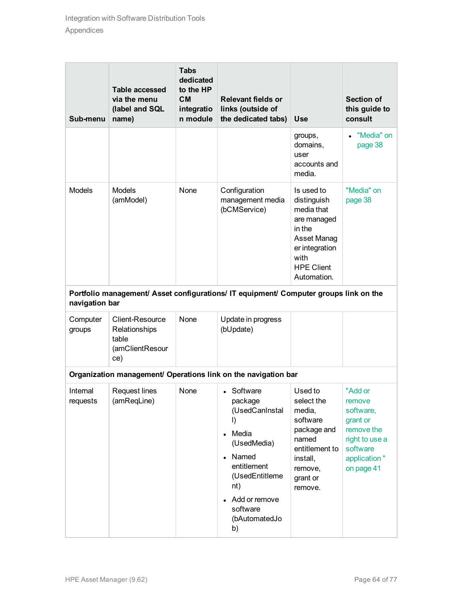| Sub-menu                                                                                                | <b>Table accessed</b><br>via the menu<br>(label and SQL<br>name)           | <b>Tabs</b><br>dedicated<br>to the HP<br><b>CM</b><br>integratio<br>n module | <b>Relevant fields or</b><br>links (outside of<br>the dedicated tabs)                                                                                                                             | <b>Use</b>                                                                                                                                    | <b>Section of</b><br>this guide to<br>consult                                                                        |
|---------------------------------------------------------------------------------------------------------|----------------------------------------------------------------------------|------------------------------------------------------------------------------|---------------------------------------------------------------------------------------------------------------------------------------------------------------------------------------------------|-----------------------------------------------------------------------------------------------------------------------------------------------|----------------------------------------------------------------------------------------------------------------------|
|                                                                                                         |                                                                            |                                                                              |                                                                                                                                                                                                   | groups,<br>domains,<br>user<br>accounts and<br>media.                                                                                         | "Media" on<br>page 38                                                                                                |
| <b>Models</b>                                                                                           | <b>Models</b><br>(amModel)                                                 | None                                                                         | Configuration<br>management media<br>(bCMService)                                                                                                                                                 | Is used to<br>distinguish<br>media that<br>are managed<br>in the<br>Asset Manag<br>er integration<br>with<br><b>HPE Client</b><br>Automation. | "Media" on<br>page 38                                                                                                |
| Portfolio management/ Asset configurations/ IT equipment/ Computer groups link on the<br>navigation bar |                                                                            |                                                                              |                                                                                                                                                                                                   |                                                                                                                                               |                                                                                                                      |
| Computer<br>groups                                                                                      | <b>Client-Resource</b><br>Relationships<br>table<br>(amClientResour<br>ce) | None                                                                         | Update in progress<br>(bUpdate)                                                                                                                                                                   |                                                                                                                                               |                                                                                                                      |
| Organization management/ Operations link on the navigation bar                                          |                                                                            |                                                                              |                                                                                                                                                                                                   |                                                                                                                                               |                                                                                                                      |
| Internal<br>requests                                                                                    | <b>Request lines</b><br>(amReqLine)                                        | None                                                                         | • Software<br>package<br>(UsedCanInstal<br>$\mathbf{D}$<br>Media<br>(UsedMedia)<br>Named<br>$\bullet$<br>entitlement<br>(UsedEntitleme<br>nt)<br>Add or remove<br>software<br>(bAutomatedJo<br>b) | Used to<br>select the<br>media,<br>software<br>package and<br>named<br>entitlement to<br>install,<br>remove,<br>grant or<br>remove.           | "Add or<br>remove<br>software,<br>grant or<br>remove the<br>right to use a<br>software<br>application"<br>on page 41 |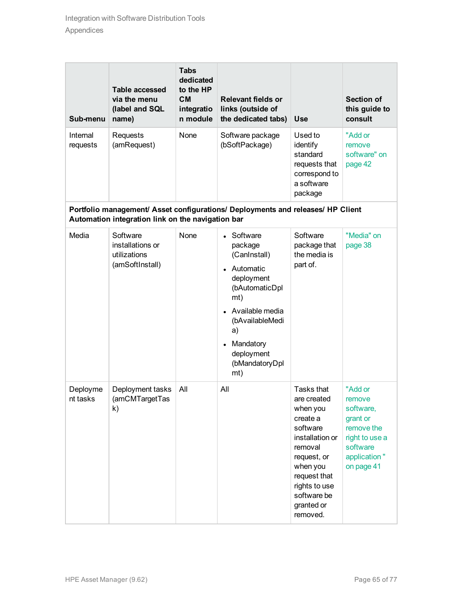| Sub-menu             | <b>Table accessed</b><br>via the menu<br>(label and SQL<br>name) | <b>Tabs</b><br>dedicated<br>to the HP<br><b>CM</b><br>integratio<br>n module | <b>Relevant fields or</b><br>links (outside of<br>the dedicated tabs)                                                                                                                       | <b>Use</b>                                                                                                                                                                                       | <b>Section of</b><br>this guide to<br>consult                                                                        |
|----------------------|------------------------------------------------------------------|------------------------------------------------------------------------------|---------------------------------------------------------------------------------------------------------------------------------------------------------------------------------------------|--------------------------------------------------------------------------------------------------------------------------------------------------------------------------------------------------|----------------------------------------------------------------------------------------------------------------------|
| Internal<br>requests | Requests<br>(amRequest)                                          | None                                                                         | Software package<br>(bSoftPackage)                                                                                                                                                          | Used to<br>identify<br>standard<br>requests that<br>correspond to<br>a software<br>package                                                                                                       | "Add or<br>remove<br>software" on<br>page 42                                                                         |
|                      | Automation integration link on the navigation bar                |                                                                              | Portfolio management/ Asset configurations/ Deployments and releases/ HP Client                                                                                                             |                                                                                                                                                                                                  |                                                                                                                      |
| Media                | Software<br>installations or<br>utilizations<br>(amSoftInstall)  | None                                                                         | • Software<br>package<br>(CanInstall)<br>• Automatic<br>deployment<br>(bAutomaticDpl<br>mt)<br>Available media<br>(bAvailableMedi<br>a)<br>Mandatory<br>deployment<br>(bMandatoryDpl<br>mt) | Software<br>package that<br>the media is<br>part of.                                                                                                                                             | "Media" on<br>page 38                                                                                                |
| Deployme<br>nt tasks | Deployment tasks<br>(amCMTargetTas<br>k)                         | All                                                                          | All                                                                                                                                                                                         | Tasks that<br>are created<br>when you<br>create a<br>software<br>installation or<br>removal<br>request, or<br>when you<br>request that<br>rights to use<br>software be<br>granted or<br>removed. | "Add or<br>remove<br>software,<br>grant or<br>remove the<br>right to use a<br>software<br>application"<br>on page 41 |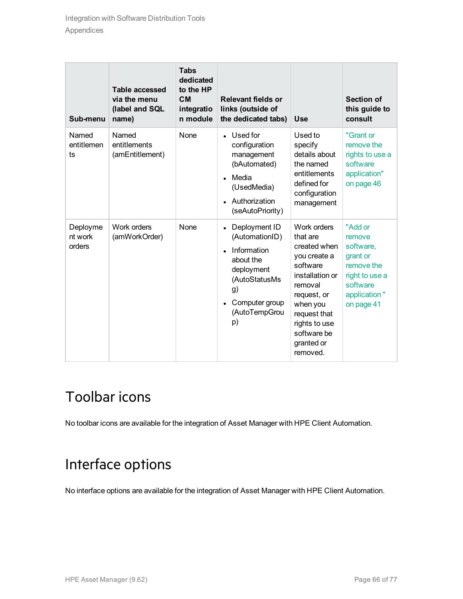| Sub-menu                      | Table accessed<br>via the menu<br>(label and SQL<br>name) | <b>Tabs</b><br>dedicated<br>to the HP<br><b>CM</b><br>integratio<br>n module | <b>Relevant fields or</b><br>links (outside of<br>the dedicated tabs)                                                                     | <b>Use</b>                                                                                                                                                                                             | <b>Section of</b><br>this guide to<br>consult                                                                        |
|-------------------------------|-----------------------------------------------------------|------------------------------------------------------------------------------|-------------------------------------------------------------------------------------------------------------------------------------------|--------------------------------------------------------------------------------------------------------------------------------------------------------------------------------------------------------|----------------------------------------------------------------------------------------------------------------------|
| Named<br>entitlemen<br>ts     | Named<br>entitlements<br>(amEntitlement)                  | None                                                                         | • Used for<br>configuration<br>management<br>(bAutomated)<br>$\bullet$ Media<br>(UsedMedia)<br>• Authorization<br>(seAutoPriority)        | Used to<br>specify<br>details about<br>the named<br>entitlements<br>defined for<br>configuration<br>management                                                                                         | "Grant or<br>remove the<br>rights to use a<br>software<br>application"<br>on page 46                                 |
| Deployme<br>nt work<br>orders | Work orders<br>(amWorkOrder)                              | None                                                                         | Deployment ID<br>(AutomationID)<br>Information<br>about the<br>deployment<br>(AutoStatusMs<br>g)<br>Computer group<br>(AutoTempGrou<br>p) | Work orders<br>that are<br>created when<br>you create a<br>software<br>installation or<br>removal<br>request, or<br>when you<br>request that<br>rights to use<br>software be<br>granted or<br>removed. | "Add or<br>remove<br>software,<br>grant or<br>remove the<br>right to use a<br>software<br>application"<br>on page 41 |

## <span id="page-65-0"></span>Toolbar icons

<span id="page-65-1"></span>No toolbar icons are available for the integration of Asset Manager with HPE Client Automation.

## Interface options

No interface options are available for the integration of Asset Manager with HPE Client Automation.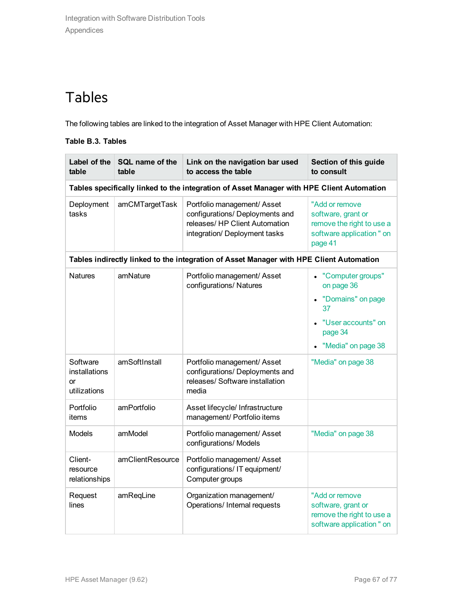## <span id="page-66-0"></span>Tables

The following tables are linked to the integration of Asset Manager with HPE Client Automation:

#### **Table B.3. Tables**

| Label of the<br>table                                                                     | SQL name of the<br>table | Link on the navigation bar used<br>to access the table                                                                            | Section of this guide<br>to consult                                                                                              |  |  |  |
|-------------------------------------------------------------------------------------------|--------------------------|-----------------------------------------------------------------------------------------------------------------------------------|----------------------------------------------------------------------------------------------------------------------------------|--|--|--|
| Tables specifically linked to the integration of Asset Manager with HPE Client Automation |                          |                                                                                                                                   |                                                                                                                                  |  |  |  |
| Deployment<br>tasks                                                                       | amCMTargetTask           | Portfolio management/ Asset<br>configurations/ Deployments and<br>releases/ HP Client Automation<br>integration/ Deployment tasks | "Add or remove<br>software, grant or<br>remove the right to use a<br>software application " on<br>page 41                        |  |  |  |
|                                                                                           |                          | Tables indirectly linked to the integration of Asset Manager with HPE Client Automation                                           |                                                                                                                                  |  |  |  |
| <b>Natures</b>                                                                            | amNature                 | Portfolio management/ Asset<br>configurations/ Natures                                                                            | • "Computer groups"<br>on page 36<br>"Domains" on page<br>37<br>"User accounts" on<br>$\bullet$<br>page 34<br>"Media" on page 38 |  |  |  |
| Software<br>installations<br>or<br>utilizations                                           | amSoftInstall            | Portfolio management/ Asset<br>configurations/ Deployments and<br>releases/ Software installation<br>media                        | "Media" on page 38                                                                                                               |  |  |  |
| Portfolio<br>items                                                                        | amPortfolio              | Asset lifecycle/ Infrastructure<br>management/ Portfolio items                                                                    |                                                                                                                                  |  |  |  |
| <b>Models</b>                                                                             | amModel                  | Portfolio management/ Asset<br>configurations/ Models                                                                             | "Media" on page 38                                                                                                               |  |  |  |
| Client-<br>resource<br>relationships                                                      | amClientResource         | Portfolio management/ Asset<br>configurations/ IT equipment/<br>Computer groups                                                   |                                                                                                                                  |  |  |  |
| Request<br>lines                                                                          | amReqLine                | Organization management/<br>Operations/ Internal requests                                                                         | "Add or remove<br>software, grant or<br>remove the right to use a<br>software application " on                                   |  |  |  |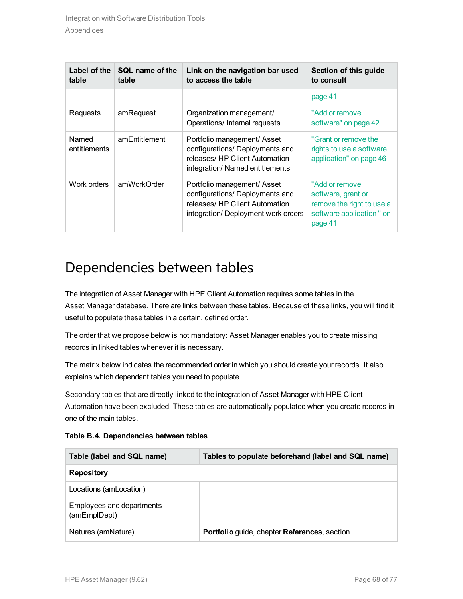| Label of the<br>table | SQL name of the<br>table | Link on the navigation bar used<br>to access the table                                                                                  | Section of this guide<br>to consult                                                                        |
|-----------------------|--------------------------|-----------------------------------------------------------------------------------------------------------------------------------------|------------------------------------------------------------------------------------------------------------|
|                       |                          |                                                                                                                                         | page 41                                                                                                    |
| Requests              | amRequest                | Organization management/<br>Operations/ Internal requests                                                                               | "Add or remove"<br>software" on page 42                                                                    |
| Named<br>entitlements | amEntitlement            | Portfolio management/ Asset<br>configurations/ Deployments and<br>releases/ HP Client Automation<br>integration/ Named entitlements     | "Grant or remove the<br>rights to use a software<br>application" on page 46                                |
| Work orders           | amWorkOrder              | Portfolio management/ Asset<br>configurations/ Deployments and<br>releases/ HP Client Automation<br>integration/ Deployment work orders | "Add or remove"<br>software, grant or<br>remove the right to use a<br>software application " on<br>page 41 |

### <span id="page-67-0"></span>Dependencies between tables

The integration of Asset Manager with HPE Client Automation requires some tables in the Asset Manager database. There are links between these tables. Because of these links, you will find it useful to populate these tables in a certain, defined order.

The order that we propose below is not mandatory: Asset Manager enables you to create missing records in linked tables whenever it is necessary.

The matrix below indicates the recommended order in which you should create your records. It also explains which dependant tables you need to populate.

Secondary tables that are directly linked to the integration of Asset Manager with HPE Client Automation have been excluded. These tables are automatically populated when you create records in one of the main tables.

| Table B.4. Dependencies between tables |
|----------------------------------------|
|----------------------------------------|

| Table (label and SQL name)                | Tables to populate beforehand (label and SQL name) |
|-------------------------------------------|----------------------------------------------------|
| <b>Repository</b>                         |                                                    |
| Locations (amLocation)                    |                                                    |
| Employees and departments<br>(amEmplDept) |                                                    |
| Natures (amNature)                        | Portfolio guide, chapter References, section       |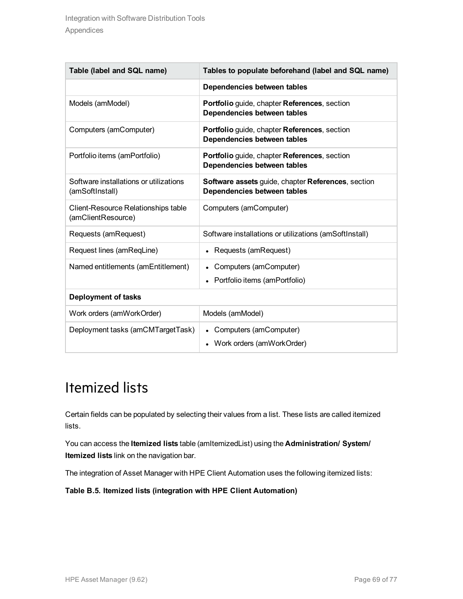| Table (label and SQL name)                                | Tables to populate beforehand (label and SQL name)                                         |
|-----------------------------------------------------------|--------------------------------------------------------------------------------------------|
|                                                           | Dependencies between tables                                                                |
| Models (amModel)                                          | <b>Portfolio</b> guide, chapter <b>References</b> , section<br>Dependencies between tables |
| Computers (amComputer)                                    | Portfolio guide, chapter References, section<br>Dependencies between tables                |
| Portfolio items (amPortfolio)                             | Portfolio guide, chapter References, section<br>Dependencies between tables                |
| Software installations or utilizations<br>(amSoftInstall) | Software assets guide, chapter References, section<br>Dependencies between tables          |
| Client-Resource Relationships table<br>(amClientResource) | Computers (amComputer)                                                                     |
| Requests (amRequest)                                      | Software installations or utilizations (amSoftInstall)                                     |
| Request lines (amReqLine)                                 | • Requests (amRequest)                                                                     |
| Named entitlements (amEntitlement)                        | • Computers (amComputer)                                                                   |
|                                                           | Portfolio items (amPortfolio)                                                              |
| Deployment of tasks                                       |                                                                                            |
| Work orders (amWorkOrder)                                 | Models (amModel)                                                                           |
| Deployment tasks (amCMTargetTask)                         | • Computers (amComputer)<br>Work orders (amWorkOrder)                                      |

## <span id="page-68-0"></span>Itemized lists

Certain fields can be populated by selecting their values from a list. These lists are called itemized lists.

You can access the **Itemized lists** table (amItemizedList) using the **Administration/ System/ Itemized lists** link on the navigation bar.

The integration of Asset Manager with HPE Client Automation uses the following itemized lists:

**Table B.5. Itemized lists (integration with HPE Client Automation)**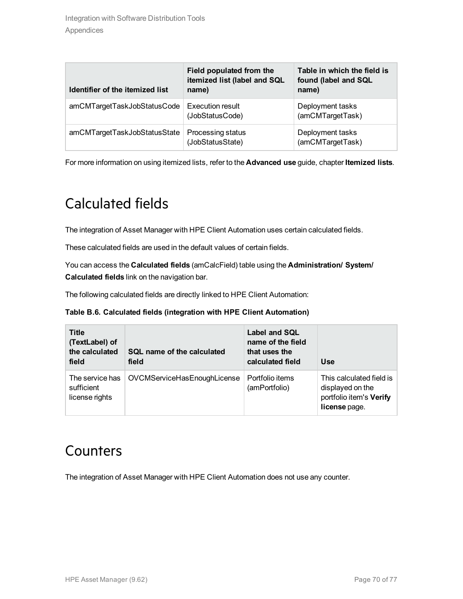| Identifier of the itemized list | Field populated from the<br>itemized list (label and SQL<br>name) | Table in which the field is<br>found (label and SQL<br>name) |
|---------------------------------|-------------------------------------------------------------------|--------------------------------------------------------------|
| amCMTargetTaskJobStatusCode     | <b>Execution result</b><br>(JobStatusCode)                        | Deployment tasks<br>(amCMTargetTask)                         |
| amCMTargetTaskJobStatusState    | Processing status<br>(JobStatusState)                             | Deployment tasks<br>(amCMTargetTask)                         |

<span id="page-69-0"></span>For more information on using itemized lists, refer to the **Advanced use** guide, chapter **Itemized lists**.

## Calculated fields

The integration of Asset Manager with HPE Client Automation uses certain calculated fields.

These calculated fields are used in the default values of certain fields.

You can access the **Calculated fields** (amCalcField) table using the **Administration/ System/ Calculated fields** link on the navigation bar.

The following calculated fields are directly linked to HPE Client Automation:

#### **Table B.6. Calculated fields (integration with HPE Client Automation)**

| <b>Title</b><br>(TextLabel) of<br>the calculated<br>field | SQL name of the calculated<br>field | Label and SQL<br>name of the field<br>that uses the<br>calculated field | <b>Use</b>                                                                               |
|-----------------------------------------------------------|-------------------------------------|-------------------------------------------------------------------------|------------------------------------------------------------------------------------------|
| The service has<br>sufficient<br>license rights           | OVCMServiceHasEnoughLicense         | Portfolio items<br>(amPortfolio)                                        | This calculated field is<br>displayed on the<br>portfolio item's Verify<br>license page. |

### <span id="page-69-1"></span>**Counters**

The integration of Asset Manager with HPE Client Automation does not use any counter.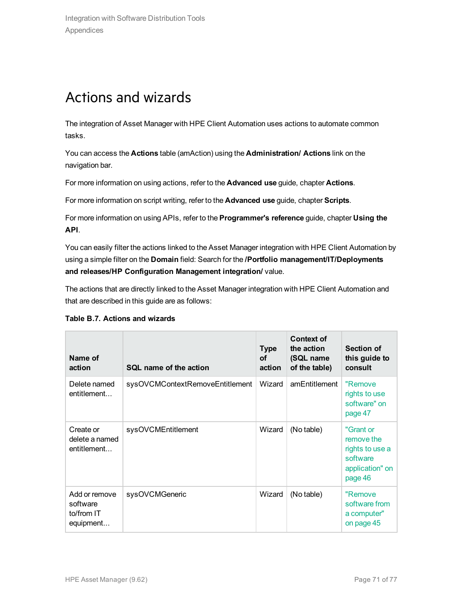## <span id="page-70-0"></span>Actions and wizards

The integration of Asset Manager with HPE Client Automation uses actions to automate common tasks.

You can access the **Actions** table (amAction) using the **Administration/ Actions** link on the navigation bar.

For more information on using actions, refer to the **Advanced use** guide, chapter **Actions**.

For more information on script writing, refer to the **Advanced use** guide, chapter **Scripts**.

For more information on using APIs, refer to the **Programmer's reference** guide, chapter **Using the API**.

You can easily filter the actions linked to the Asset Manager integration with HPE Client Automation by using a simple filter on the **Domain** field: Search for the **/Portfolio management/IT/Deployments and releases/HP Configuration Management integration/** value.

The actions that are directly linked to the Asset Manager integration with HPE Client Automation and that are described in this guide are as follows:

#### **Table B.7. Actions and wizards**

| Name of<br>action                                    | SQL name of the action          | <b>Type</b><br><b>of</b><br>action | <b>Context of</b><br>the action<br>(SQL name<br>of the table) | <b>Section of</b><br>this guide to<br>consult                                        |
|------------------------------------------------------|---------------------------------|------------------------------------|---------------------------------------------------------------|--------------------------------------------------------------------------------------|
| Delete named<br>entitlement                          | sysOVCMContextRemoveEntitlement | Wizard                             | amEntitlement                                                 | "Remove<br>rights to use<br>software" on<br>page 47                                  |
| Create or<br>delete a named<br>entitlement           | sysOVCMEntitlement              | Wizard                             | (No table)                                                    | "Grant or<br>remove the<br>rights to use a<br>software<br>application" on<br>page 46 |
| Add or remove<br>software<br>to/from IT<br>equipment | sysOVCMGeneric                  | Wizard                             | (No table)                                                    | "Remove<br>software from<br>a computer"<br>on page 45                                |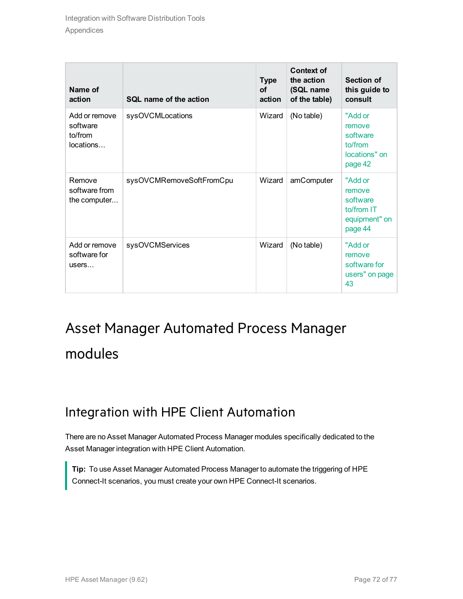| Name of<br>action                                 | SQL name of the action   | <b>Type</b><br><b>of</b><br>action | <b>Context of</b><br>the action<br>(SQL name<br>of the table) | Section of<br>this guide to<br>consult                                  |
|---------------------------------------------------|--------------------------|------------------------------------|---------------------------------------------------------------|-------------------------------------------------------------------------|
| Add or remove<br>software<br>to/from<br>locations | sysOVCMLocations         | Wizard                             | (No table)                                                    | "Add or<br>remove<br>software<br>to/from<br>locations" on<br>page 42    |
| Remove<br>software from<br>the computer           | sysOVCMRemoveSoftFromCpu | Wizard                             | amComputer                                                    | "Add or<br>remove<br>software<br>to/from IT<br>equipment" on<br>page 44 |
| Add or remove<br>software for<br>users            | sysOVCMServices          | Wizard                             | (No table)                                                    | "Add or<br>remove<br>software for<br>users" on page<br>43               |

# <span id="page-71-0"></span>Asset Manager Automated Process Manager modules

### <span id="page-71-1"></span>Integration with HPE Client Automation

There are no Asset Manager Automated Process Manager modules specifically dedicated to the Asset Manager integration with HPE Client Automation.

**Tip:** To use Asset Manager Automated Process Manager to automate the triggering of HPE Connect-It scenarios, you must create your own HPE Connect-It scenarios.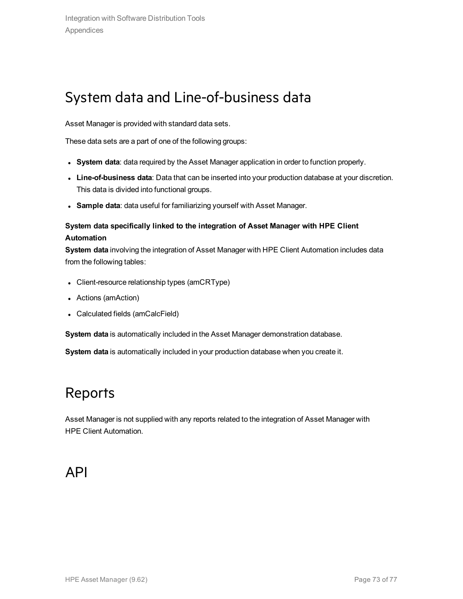# System data and Line-of-business data

Asset Manager is provided with standard data sets.

These data sets are a part of one of the following groups:

- <sup>l</sup> **System data**: data required by the Asset Manager application in order to function properly.
- **Line-of-business data**: Data that can be inserted into your production database at your discretion. This data is divided into functional groups.
- **Sample data**: data useful for familiarizing yourself with Asset Manager.

### **System data specifically linked to the integration of Asset Manager with HPE Client Automation**

**System data** involving the integration of Asset Manager with HPE Client Automation includes data from the following tables:

- Client-resource relationship types (amCRType)
- Actions (amAction)
- Calculated fields (amCalcField)

**System data** is automatically included in the Asset Manager demonstration database.

**System data** is automatically included in your production database when you create it.

## Reports

Asset Manager is not supplied with any reports related to the integration of Asset Manager with HPE Client Automation.

### API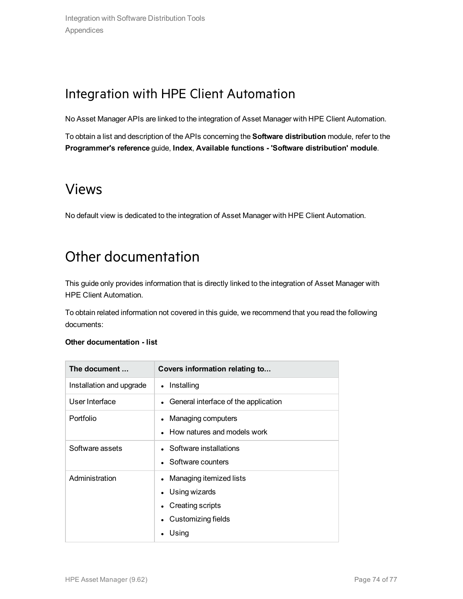## Integration with HPE Client Automation

No Asset Manager APIs are linked to the integration of Asset Manager with HPE Client Automation.

To obtain a list and description of the APIs concerning the **Software distribution** module, refer to the **Programmer's reference** guide, **Index**, **Available functions - 'Software distribution' module**.

### Views

No default view is dedicated to the integration of Asset Manager with HPE Client Automation.

# Other documentation

This guide only provides information that is directly linked to the integration of Asset Manager with HPE Client Automation.

To obtain related information not covered in this guide, we recommend that you read the following documents:

#### **Other documentation - list**

| The document             | Covers information relating to         |  |  |
|--------------------------|----------------------------------------|--|--|
| Installation and upgrade | Installing<br>$\bullet$                |  |  |
| User Interface           | • General interface of the application |  |  |
| Portfolio                | Managing computers<br>$\bullet$        |  |  |
|                          | How natures and models work            |  |  |
| Software assets          | • Software installations               |  |  |
|                          | • Software counters                    |  |  |
| Administration           | Managing itemized lists<br>$\bullet$   |  |  |
|                          | • Using wizards                        |  |  |
|                          | Creating scripts                       |  |  |
|                          | Customizing fields                     |  |  |
|                          | Using                                  |  |  |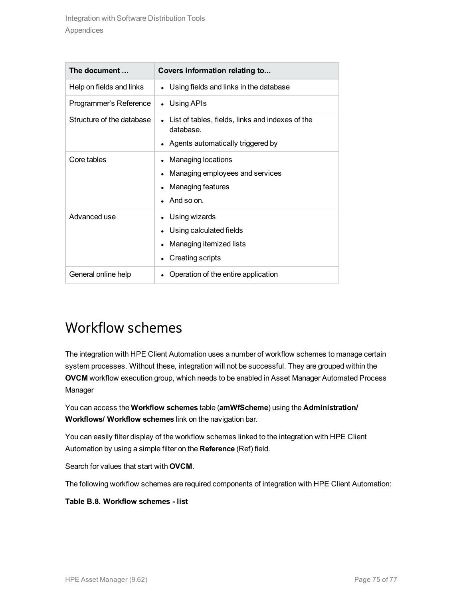| The document              | Covers information relating to                                                                        |  |  |  |
|---------------------------|-------------------------------------------------------------------------------------------------------|--|--|--|
| Help on fields and links  | Using fields and links in the database<br>$\bullet$                                                   |  |  |  |
| Programmer's Reference    | • Using APIs                                                                                          |  |  |  |
| Structure of the database | List of tables, fields, links and indexes of the<br>database.<br>Agents automatically triggered by    |  |  |  |
| Core tables               | Managing locations<br>Managing employees and services<br>Managing features<br>$\bullet$<br>And so on. |  |  |  |
| Advanced use              | Using wizards<br>Using calculated fields<br>Managing itemized lists<br>Creating scripts<br>$\bullet$  |  |  |  |
| General online help       | Operation of the entire application                                                                   |  |  |  |

# Workflow schemes

The integration with HPE Client Automation uses a number of workflow schemes to manage certain system processes. Without these, integration will not be successful. They are grouped within the **OVCM** workflow execution group, which needs to be enabled in Asset Manager Automated Process Manager

You can access the **Workflow schemes** table (**amWfScheme**) using the **Administration/ Workflows/ Workflow schemes** link on the navigation bar.

You can easily filter display of the workflow schemes linked to the integration with HPE Client Automation by using a simple filter on the **Reference** (Ref) field.

Search for values that start with **OVCM**.

The following workflow schemes are required components of integration with HPE Client Automation:

#### **Table B.8. Workflow schemes - list**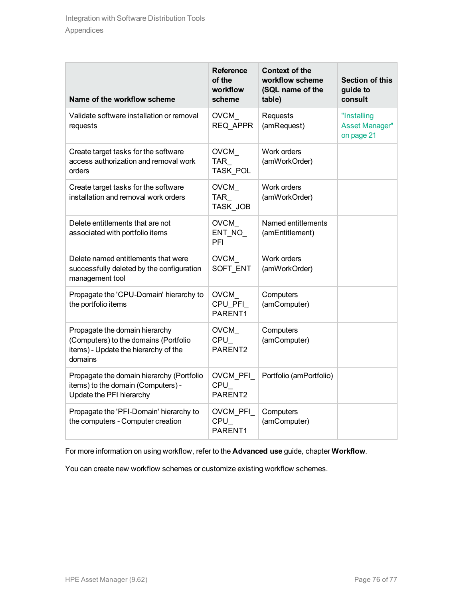| Name of the workflow scheme                                                                                                | <b>Reference</b><br>of the<br>workflow<br>scheme | <b>Context of the</b><br>workflow scheme<br>(SQL name of the<br>table) | <b>Section of this</b><br>guide to<br>consult      |
|----------------------------------------------------------------------------------------------------------------------------|--------------------------------------------------|------------------------------------------------------------------------|----------------------------------------------------|
| Validate software installation or removal<br>requests                                                                      | <b>OVCM</b><br>REQ APPR                          | Requests<br>(amRequest)                                                | "Installing<br><b>Asset Manager"</b><br>on page 21 |
| Create target tasks for the software<br>access authorization and removal work<br>orders                                    | OVCM_<br><b>TAR</b><br><b>TASK POL</b>           | Work orders<br>(amWorkOrder)                                           |                                                    |
| Create target tasks for the software<br>installation and removal work orders                                               | <b>OVCM</b><br><b>TAR</b><br><b>TASK JOB</b>     | Work orders<br>(amWorkOrder)                                           |                                                    |
| Delete entitlements that are not<br>associated with portfolio items                                                        | <b>OVCM</b><br>ENT_NO_<br>PFI                    | Named entitlements<br>(amEntitlement)                                  |                                                    |
| Delete named entitlements that were<br>successfully deleted by the configuration<br>management tool                        | <b>OVCM</b><br>SOFT ENT                          | Work orders<br>(amWorkOrder)                                           |                                                    |
| Propagate the 'CPU-Domain' hierarchy to<br>the portfolio items                                                             | <b>OVCM</b><br>CPU PFI<br>PARENT1                | Computers<br>(amComputer)                                              |                                                    |
| Propagate the domain hierarchy<br>(Computers) to the domains (Portfolio<br>items) - Update the hierarchy of the<br>domains | OVCM_<br>CPU<br>PARENT2                          | Computers<br>(amComputer)                                              |                                                    |
| Propagate the domain hierarchy (Portfolio<br>items) to the domain (Computers) -<br>Update the PFI hierarchy                | OVCM PFI<br>CPU<br>PARENT2                       | Portfolio (amPortfolio)                                                |                                                    |
| Propagate the 'PFI-Domain' hierarchy to<br>the computers - Computer creation                                               | OVCM_PFI_<br>$CPU_$<br>PARENT1                   | Computers<br>(amComputer)                                              |                                                    |

For more information on using workflow, refer to the **Advanced use** guide, chapter **Workflow**.

You can create new workflow schemes or customize existing workflow schemes.